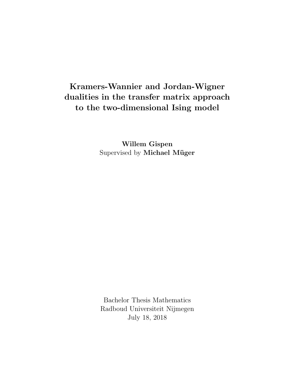## Kramers-Wannier and Jordan-Wigner dualities in the transfer matrix approach to the two-dimensional Ising model

Willem Gispen Supervised by Michael Müger

Bachelor Thesis Mathematics Radboud Universiteit Nijmegen July 18, 2018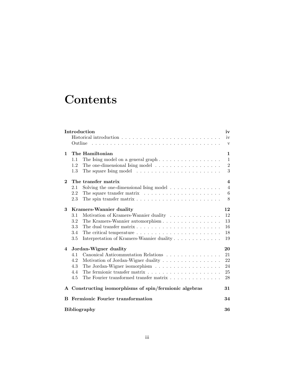# **Contents**

|              | Introduction<br>Outline                                                                                                                                                                                                                                                                                   | iv<br>iv<br>$\mathbf{V}$                            |  |
|--------------|-----------------------------------------------------------------------------------------------------------------------------------------------------------------------------------------------------------------------------------------------------------------------------------------------------------|-----------------------------------------------------|--|
| $\mathbf{1}$ | The Hamiltonian<br>1.1<br>1.2<br>The square Ising model $\dots \dots \dots \dots \dots \dots \dots \dots$<br>1.3                                                                                                                                                                                          | 1<br>$\mathbf{1}$<br>$\sqrt{2}$<br>3                |  |
| $\bf{2}$     | The transfer matrix<br>2.1<br>Solving the one-dimensional Ising model $\ldots \ldots \ldots \ldots$<br>2.2<br>The square transfer matrix $\ldots \ldots \ldots \ldots \ldots \ldots \ldots$<br>2.3<br>The spin transfer matrix $\ldots \ldots \ldots \ldots \ldots \ldots \ldots \ldots$                  | $\overline{\mathbf{4}}$<br>$\overline{4}$<br>6<br>8 |  |
| 3            | <b>Kramers-Wannier duality</b><br>3.1<br>Motivation of Kramers-Wannier duality $\dots \dots \dots \dots \dots$<br>3.2<br>The Kramers-Wannier automorphism<br>3.3<br>3.4<br>The critical temperature $\dots \dots \dots \dots \dots \dots \dots \dots$<br>3.5<br>Interpretation of Kramers-Wannier duality | 12<br>12<br>13<br>16<br>18<br>19                    |  |
| 4            | Jordan-Wigner duality<br>Canonical Anticommutation Relations<br>4.1<br>Motivation of Jordan-Wigner duality<br>4.2<br>4.3<br>4.4<br>The Fourier transformed transfer matrix<br>4.5                                                                                                                         | 20<br>21<br>22<br>24<br>25<br>28                    |  |
|              | A Constructing isomorphisms of spin/fermionic algebras                                                                                                                                                                                                                                                    | 31                                                  |  |
| B            | Fermionic Fourier transformation<br><b>Bibliography</b>                                                                                                                                                                                                                                                   | 34<br>36                                            |  |
|              |                                                                                                                                                                                                                                                                                                           |                                                     |  |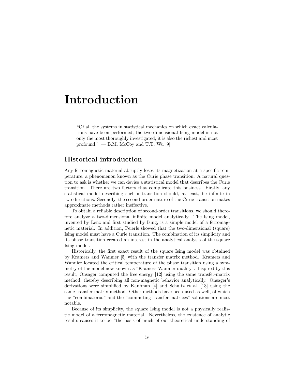## Introduction

"Of all the systems in statistical mechanics on which exact calculations have been performed, the two-dimensional Ising model is not only the most thoroughly investigated; it is also the richest and most profound."  $-$  B.M. McCoy and T.T. Wu [9]

#### Historical introduction

Any ferromagnetic material abruptly loses its magnetization at a specific temperature, a phenomenon known as the Curie phase transition. A natural question to ask is whether we can devise a statistical model that describes the Curie transition. There are two factors that complicate this business. Firstly, any statistical model describing such a transition should, at least, be infinite in two-directions. Secondly, the second-order nature of the Curie transition makes approximate methods rather ineffective.

To obtain a reliable description of second-order transitions, we should therefore analyze a two-dimensional infinite model analytically. The Ising model, invented by Lenz and first studied by Ising, is a simple model of a ferromagnetic material. In addition, Peierls showed that the two-dimensional (square) Ising model must have a Curie transition. The combination of its simplicity and its phase transition created an interest in the analytical analysis of the square Ising model.

Historically, the first exact result of the square Ising model was obtained by Kramers and Wannier [5] with the transfer matrix method. Kramers and Wannier located the critical temperature of the phase transition using a symmetry of the model now known as "Kramers-Wannier duality". Inspired by this result, Onsager computed the free energy [12] using the same transfer-matrix method, thereby describing all non-magnetic behavior analytically. Onsager's derivations were simplified by Kaufman [4] and Schultz et al. [13] using the same transfer matrix method. Other methods have been used as well, of which the "combinatorial" and the "commuting transfer matrices" solutions are most notable.

Because of its simplicity, the square Ising model is not a physically realistic model of a ferromagnetic material. Nevertheless, the existence of analytic results causes it to be "the basis of much of our theoretical understanding of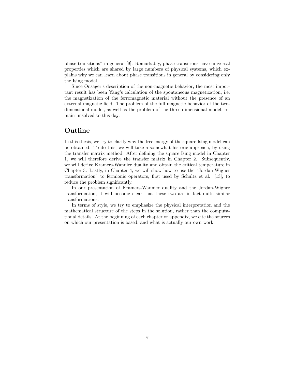phase transitions" in general [9]. Remarkably, phase transitions have universal properties which are shared by large numbers of physical systems, which explains why we can learn about phase transitions in general by considering only the Ising model.

Since Onsager's description of the non-magnetic behavior, the most important result has been Yang's calculation of the spontaneous magnetization, i.e. the magnetization of the ferromagnetic material without the presence of an external magnetic field. The problem of the full magnetic behavior of the twodimensional model, as well as the problem of the three-dimensional model, remain unsolved to this day.

#### Outline

In this thesis, we try to clarify why the free energy of the square Ising model can be obtained. To do this, we will take a somewhat historic approach, by using the transfer matrix method. After defining the square Ising model in Chapter 1, we will therefore derive the transfer matrix in Chapter 2. Subsequently, we will derive Kramers-Wannier duality and obtain the critical temperature in Chapter 3. Lastly, in Chapter 4, we will show how to use the "Jordan-Wigner transformation" to fermionic operators, first used by Schultz et al. [13], to reduce the problem significantly.

In our presentation of Kramers-Wannier duality and the Jordan-Wigner transformation, it will become clear that these two are in fact quite similar transformations.

In terms of style, we try to emphasize the physical interpretation and the mathematical structure of the steps in the solution, rather than the computational details. At the beginning of each chapter or appendix, we cite the sources on which our presentation is based, and what is actually our own work.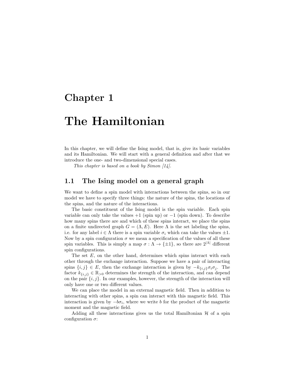### Chapter 1

## The Hamiltonian

In this chapter, we will define the Ising model, that is, give its basic variables and its Hamiltonian. We will start with a general definition and after that we introduce the one- and two-dimensional special cases.

This chapter is based on a book by Simon  $\lceil 14 \rceil$ .

#### 1.1 The Ising model on a general graph

We want to define a spin model with interactions between the spins, so in our model we have to specify three things: the nature of the spins, the locations of the spins, and the nature of the interactions.

The basic constituent of the Ising model is the spin variable. Each spin variable can only take the values  $+1$  (spin up) or  $-1$  (spin down). To describe how many spins there are and which of these spins interact, we place the spins on a finite undirected graph  $G = (\Lambda, E)$ . Here  $\Lambda$  is the set labeling the spins, i.e. for any label  $i \in \Lambda$  there is a spin variable  $\sigma_i$  which can take the values  $\pm 1$ . Now by a spin configuration  $\sigma$  we mean a specification of the values of all these spin variables. This is simply a map  $\sigma : \Lambda \to {\{\pm 1\}}$ , so there are  $2^{|\Lambda|}$  different spin configurations.

The set  $E$ , on the other hand, determines which spins interact with each other through the exchange interaction. Suppose we have a pair of interacting spins  $\{i, j\} \in E$ , then the exchange interaction is given by  $-k_{\{i,j\}}\sigma_i\sigma_j$ . The factor  $k_{\{i,j\}} \in \mathbb{R}_{>0}$  determines the strength of the interaction, and can depend on the pair  $\{i, j\}$ . In our examples, however, the strength of the interaction will only have one or two different values.

We can place the model in an external magnetic field. Then in addition to interacting with other spins, a spin can interact with this magnetic field. This interaction is given by  $-b\sigma_i$ , where we write b for the product of the magnetic moment and the magnetic field.

Adding all these interactions gives us the total Hamiltonian  $H$  of a spin configuration  $\sigma$ :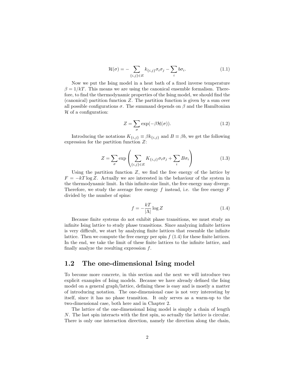$$
\mathcal{H}(\sigma) = -\sum_{\{i,j\} \in E} k_{\{i,j\}} \sigma_i \sigma_j - \sum_i b \sigma_i. \tag{1.1}
$$

Now we put the Ising model in a heat bath of a fixed inverse temperature  $\beta = 1/kT$ . This means we are using the canonical ensemble formalism. Therefore, to find the thermodynamic properties of the Ising model, we should find the (canonical) partition function Z. The partition function is given by a sum over all possible configurations  $\sigma$ . The summand depends on  $\beta$  and the Hamiltonian  $H$  of a configuration:

$$
Z = \sum_{\sigma} \exp(-\beta \mathcal{H}(\sigma)).
$$
 (1.2)

Introducing the notations  $K_{\{i,j\}} \equiv \beta k_{\{i,j\}}$  and  $B \equiv \beta b$ , we get the following expression for the partition function Z:

$$
Z = \sum_{\sigma} \exp\left(\sum_{\{i,j\} \in E} K_{\{i,j\}} \sigma_i \sigma_j + \sum_i B \sigma_i\right) \tag{1.3}
$$

Using the partition function  $Z$ , we find the free energy of the lattice by  $F = -kT \log Z$ . Actually we are interested in the behaviour of the system in the thermodynamic limit. In this infinite-size limit, the free energy may diverge. Therefore, we study the average free energy f instead, i.e. the free energy  $F$ divided by the number of spins:

$$
f = -\frac{kT}{|\Lambda|} \log Z \tag{1.4}
$$

Because finite systems do not exhibit phase transitions, we must study an infinite Ising lattice to study phase transitions. Since analyzing infinite lattices is very difficult, we start by analyzing finite lattices that resemble the infinite lattice. Then we compute the free energy per spin  $f(1.4)$  for these finite lattices. In the end, we take the limit of these finite lattices to the infinite lattice, and finally analyze the resulting expression  $f$ .

#### 1.2 The one-dimensional Ising model

To become more concrete, in this section and the next we will introduce two explicit examples of Ising models. Because we have already defined the Ising model on a general graph/lattice, defining these is easy and is mostly a matter of introducing notation. The one-dimensional case is not very interesting by itself, since it has no phase transition. It only serves as a warm-up to the two-dimensional case, both here and in Chapter 2.

The lattice of the one-dimensional Ising model is simply a chain of length N. The last spin interacts with the first spin, so actually the lattice is circular. There is only one interaction direction, namely the direction along the chain,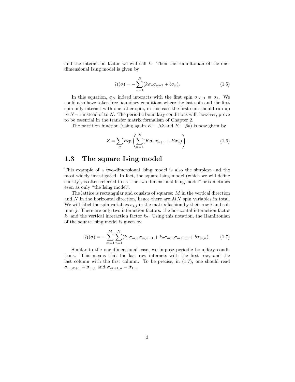and the interaction factor we will call  $k$ . Then the Hamiltonian of the onedimensional Ising model is given by

$$
\mathcal{H}(\sigma) = -\sum_{n=1}^{N} (k\sigma_n \sigma_{n+1} + b\sigma_n).
$$
 (1.5)

In this equation,  $\sigma_N$  indeed interacts with the first spin  $\sigma_{N+1} \equiv \sigma_1$ . We could also have taken free boundary conditions where the last spin and the first spin only interact with one other spin, in this case the first sum should run up to  $N-1$  instead of to N. The periodic boundary conditions will, however, prove to be essential in the transfer matrix formalism of Chapter 2.

The partition function (using again  $K \equiv \beta k$  and  $B \equiv \beta b$ ) is now given by

$$
Z = \sum_{\sigma} \exp\left(\sum_{n=1}^{N} (K\sigma_n \sigma_{n+1} + B\sigma_n)\right).
$$
 (1.6)

#### 1.3 The square Ising model

This example of a two-dimensional Ising model is also the simplest and the most widely investigated. In fact, the square Ising model (which we will define shortly), is often referred to as "the two-dimensional Ising model" or sometimes even as only "the Ising model".

The lattice is rectangular and consists of squares: M in the vertical direction and  $N$  in the horizontal direction, hence there are  $MN$  spin variables in total. We will label the spin variables  $\sigma_{i,j}$  in the matrix fashion by their row i and column  $j$ . There are only two interaction factors: the horizontal interaction factor  $k_1$  and the vertical interaction factor  $k_2$ . Using this notation, the Hamiltonian of the square Ising model is given by

$$
\mathcal{H}(\sigma) = -\sum_{m=1}^{M} \sum_{n=1}^{N} (k_1 \sigma_{m,n} \sigma_{m,n+1} + k_2 \sigma_{m,n} \sigma_{m+1,n} + b \sigma_{m,n}). \tag{1.7}
$$

Similar to the one-dimensional case, we impose periodic boundary conditions. This means that the last row interacts with the first row, and the last column with the first column. To be precise, in (1.7), one should read  $\sigma_{m,N+1} = \sigma_{m,1}$  and  $\sigma_{M+1,n} = \sigma_{1,n}$ .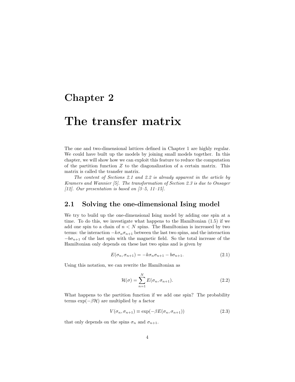### Chapter 2

## The transfer matrix

The one and two-dimensional lattices defined in Chapter 1 are highly regular. We could have built up the models by joining small models together. In this chapter, we will show how we can exploit this feature to reduce the computation of the partition function  $Z$  to the diagonalization of a certain matrix. This matrix is called the transfer matrix.

The content of Sections 2.1 and 2.2 is already apparent in the article by Kramers and Wannier [5]. The transformation of Section 2.3 is due to Onsager [12]. Our presentation is based on  $[3-5, 11-15]$ .

#### 2.1 Solving the one-dimensional Ising model

We try to build up the one-dimensional Ising model by adding one spin at a time. To do this, we investigate what happens to the Hamiltonian (1.5) if we add one spin to a chain of  $n < N$  spins. The Hamiltonian is increased by two terms: the interaction  $-k\sigma_n\sigma_{n+1}$  between the last two spins, and the interaction  $-b\sigma_{n+1}$  of the last spin with the magnetic field. So the total increase of the Hamiltonian only depends on these last two spins and is given by

$$
E(\sigma_n, \sigma_{n+1}) = -k\sigma_n \sigma_{n+1} - b\sigma_{n+1}.
$$
\n(2.1)

Using this notation, we can rewrite the Hamiltonian as

$$
\mathcal{H}(\sigma) = \sum_{n=1}^{N} E(\sigma_n, \sigma_{n+1}).
$$
\n(2.2)

What happens to the partition function if we add one spin? The probability terms  $\exp(-\beta \mathcal{H})$  are multiplied by a factor

$$
V(\sigma_n, \sigma_{n+1}) \equiv \exp(-\beta E(\sigma_n, \sigma_{n+1})) \tag{2.3}
$$

that only depends on the spins  $\sigma_n$  and  $\sigma_{n+1}$ .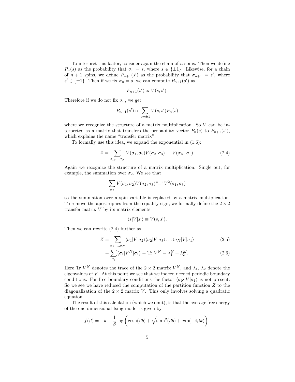To interpret this factor, consider again the chain of  $n$  spins. Then we define  $P_n(s)$  as the probability that  $\sigma_n = s$ , where  $s \in \{\pm 1\}$ . Likewise, for a chain of  $n+1$  spins, we define  $P_{n+1}(s')$  as the probability that  $\sigma_{n+1} = s'$ , where  $s' \in {\pm 1}$ . Then if we fix  $\sigma_n = s$ , we can compute  $P_{n+1}(s')$  as

$$
P_{n+1}(s') \propto V(s, s').
$$

Therefore if we do not fix  $\sigma_n$ , we get

$$
P_{n+1}(s') \propto \sum_{s=\pm 1} V(s, s') P_n(s)
$$

where we recognize the structure of a matrix multiplication. So  $V$  can be interpreted as a matrix that transfers the probability vector  $P_n(s)$  to  $P_{n+1}(s')$ , which explains the name "transfer matrix".

To formally use this idea, we expand the exponential in (1.6):

$$
Z = \sum_{\sigma_1, \dots, \sigma_N} V(\sigma_1, \sigma_2) V(\sigma_2, \sigma_3) \dots V(\sigma_N, \sigma_1).
$$
 (2.4)

Again we recognize the structure of a matrix multiplication: Single out, for example, the summation over  $\sigma_2$ . We see that

$$
\sum_{\sigma_2} V(\sigma_1, \sigma_2) V(\sigma_2, \sigma_3) \overset{\varphi}{=} "V^2(\sigma_1, \sigma_3)
$$

so the summation over a spin variable is replaced by a matrix multiplication. To remove the apostrophes from the equality sign, we formally define the  $2 \times 2$ transfer matrix  $V$  by its matrix elements

$$
\langle s|V|s'\rangle \equiv V(s,s').
$$

Then we can rewrite (2.4) further as

$$
Z = \sum_{\sigma_1, \dots, \sigma_N} \langle \sigma_1 | V | \sigma_2 \rangle \langle \sigma_2 | V | \sigma_3 \rangle \dots \langle \sigma_N | V | \sigma_1 \rangle \tag{2.5}
$$

$$
= \sum_{\sigma_1} \langle \sigma_1 | V^N | \sigma_1 \rangle = \text{Tr } V^N = \lambda_1^N + \lambda_2^M. \tag{2.6}
$$

Here Tr  $V^N$  denotes the trace of the  $2 \times 2$  matrix  $V^N$ , and  $\lambda_1$ ,  $\lambda_2$  denote the eigenvalues of  $V$ . At this point we see that we indeed needed periodic boundary conditions: For free boundary conditions the factor  $\langle \sigma_N |V | \sigma_1 \rangle$  is not present. So we see we have reduced the computation of the partition function  $Z$  to the diagonalization of the  $2 \times 2$  matrix V. This only involves solving a quadratic equation.

The result of this calculation (which we omit), is that the average free energy of the one-dimensional Ising model is given by

$$
f(\beta) = -k - \frac{1}{\beta} \log \left( \cosh(\beta b) + \sqrt{\sinh^2(\beta b) + \exp(-4\beta k)} \right).
$$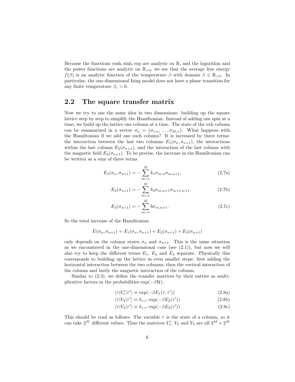Because the functions cosh, sinh, exp are analytic on  $\mathbb{R}$ , and the logarithm and the power functions are analytic on  $\mathbb{R}_{>0}$ , we see that the average free energy  $f(\beta)$  is an analytic function of the temperature  $\beta$  with domain  $\beta \in \mathbb{R}_{>0}$ . In particular, the one-dimensional Ising model does not have a phase transition for any finite temperature  $\beta_c > 0$ .

#### 2.2 The square transfer matrix

Now we try to use the same idea in two dimensions: building up the square lattice step by step to simplify the Hamiltonian. Instead of adding one spin at a time, we build up the lattice one column at a time. The state of the nth column can be summarized in a vector  $\sigma_n = (\sigma_{1,n}, \ldots, \sigma_{M,n})$ . What happens with the Hamiltonian if we add one such column? It is increased by three terms: the interaction between the last two columns  $E_1(\sigma_n, \sigma_{n+1})$ , the interactions within the last column  $E_2(\sigma_{n+1})$ , and the interaction of the last column with the magnetic field  $E_3(\sigma_{n+1})$ . To be precise, the increase in the Hamiltonian can be written as a sum of three terms

$$
E_1(\sigma_n, \sigma_{n+1}) = -\sum_{m=1}^{M} k_1 \sigma_{m,n} \sigma_{m,n+1},
$$
\n(2.7a)

$$
E_2(\sigma_{n+1}) = -\sum_{m=1}^{M} k_2 \sigma_{m,n+1} \sigma_{m+1,n+1},
$$
\n(2.7b)

$$
E_3(\sigma_{n+1}) = -\sum_{m=1}^M b\sigma_{m,n+1}.
$$
 (2.7c)

So the total increase of the Hamiltonian

$$
E(\sigma_n, \sigma_{n+1}) = E_1(\sigma_n, \sigma_{n+1}) + E_2(\sigma_{n+1}) + E_3(\sigma_{n+1})
$$

only depends on the column states  $\sigma_n$  and  $\sigma_{n+1}$ . This is the same situation as we encountered in the one-dimensional case (see  $(2.1)$ ), but now we will also try to keep the different terms  $E_1$ ,  $E_2$  and  $E_3$  separate. Physically this corresponds to building up the lattice in even smaller steps: first adding the horizontal interaction between the two columns, then the vertical interaction of the column and lastly the magnetic interaction of the column.

Similar to (2.3), we define the transfer matrices by their entries as multiplicative factors in the probabilities  $\exp(-\beta \mathcal{H})$ :

$$
\langle \tau | V_1' | \tau' \rangle \equiv \exp(-\beta E_1(\tau, \tau')) \tag{2.8a}
$$

$$
\langle \tau | V_2 | \tau' \rangle \equiv \delta_{\tau, \tau'} \exp(-\beta E_2(\tau')) \tag{2.8b}
$$

$$
\langle \tau | V_3 | \tau' \rangle \equiv \delta_{\tau, \tau'} \exp(-\beta E_3(\tau')) \tag{2.8c}
$$

This should be read as follows: The variable  $\tau$  is the state of a column, so it can take  $2^M$  different values. Thus the matrices  $V'_1$ ,  $V_2$  and  $V_3$  are all  $2^M \times 2^M$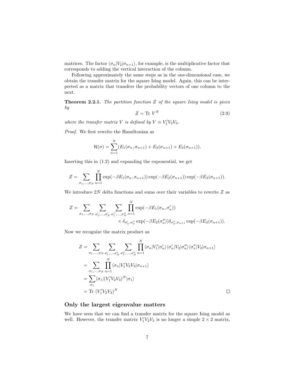matrices. The factor  $\langle \sigma_n|V_2|\sigma_{n+1}\rangle$ , for example, is the multiplicative factor that corresponds to adding the vertical interaction of the column.

Following approximately the same steps as in the one-dimensional case, we obtain the transfer matrix for the square Ising model. Again, this can be interpreted as a matrix that transfers the probability vectors of one column to the next.

**Theorem 2.2.1.** The partition function  $Z$  of the square Ising model is given by

$$
Z = \text{Tr } V^N \tag{2.9}
$$

where the transfer matrix V is defined by  $V \equiv V_1' V_2 V_3$ .

Proof. We first rewrite the Hamiltonian as

$$
\mathcal{H}(\sigma) = \sum_{n=1}^{N} (E_1(\sigma_n, \sigma_{n+1}) + E_2(\sigma_{n+1}) + E_3(\sigma_{n+1})).
$$

Inserting this in (1.2) and expanding the exponential, we get

$$
Z = \sum_{\sigma_1,\ldots,\sigma_N} \prod_{n=1}^N \exp(-\beta E_1(\sigma_n, \sigma_{n+1})) \exp(-\beta E_2(\sigma_{n+1})) \exp(-\beta E_3(\sigma_{n+1})).
$$

We introduce  $2N$  delta functions and sums over their variables to rewrite  $Z$  as

$$
Z = \sum_{\sigma_1, \dots, \sigma_N} \sum_{\sigma'_1, \dots, \sigma'_N} \sum_{\sigma''_1, \dots, \sigma''_N} \prod_{n=1}^N \exp(-\beta E_1(\sigma_n, \sigma'_n))
$$
  
\$\times \delta\_{\sigma'\_n, \sigma''\_n} \exp(-\beta E\_2(\sigma''\_n))\delta\_{\sigma''\_n, \sigma\_{n+1}} \exp(-\beta E\_3(\sigma\_{n+1})).

Now we recognize the matrix product as

$$
Z = \sum_{\sigma_1, \dots, \sigma_N} \sum_{\sigma'_1, \dots, \sigma'_N} \sum_{\sigma''_1, \dots, \sigma''_N} \prod_{n=1}^N \langle \sigma_n | V'_1 | \sigma'_n \rangle \langle \sigma'_n | V_2 | \sigma''_n \rangle \langle \sigma''_n | V_3 | \sigma_{n+1} \rangle
$$
  
\n
$$
= \sum_{\sigma_1, \dots, \sigma_N} \prod_{n=1}^N \langle \sigma_n | V'_1 V_2 V_3 | \sigma_{n+1} \rangle
$$
  
\n
$$
= \sum_{\sigma_1} \langle \sigma_1 | (V'_1 V_2 V_3)^N | \sigma_1 \rangle
$$
  
\n
$$
= \text{Tr} (V'_1 V_2 V_3)^N
$$

#### Only the largest eigenvalue matters

We have seen that we can find a transfer matrix for the square Ising model as well. However, the transfer matrix  $V_1'V_2V_3$  is no longer a simple  $2 \times 2$  matrix,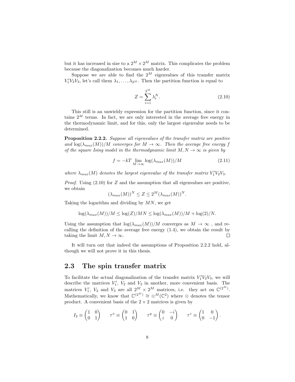but it has increased in size to a  $2^M \times 2^M$  matrix. This complicates the problem because the diagonalization becomes much harder.

Suppose we are able to find the  $2^M$  eigenvalues of this transfer matrix  $V_1'V_2V_3$ , let's call them  $\lambda_1, \ldots, \lambda_{2^M}$ . Then the partition function is equal to

$$
Z = \sum_{i=1}^{2^M} \lambda_i^N.
$$
 (2.10)

This still is an unwieldy expression for the partition function, since it contains  $2^M$  terms. In fact, we are only interested in the average free energy in the thermodynamic limit, and for this, only the largest eigenvalue needs to be determined.

Proposition 2.2.2. Suppose all eigenvalues of the transfer matrix are positive and  $\log(\lambda_{max}(M))/M$  converges for  $M \to \infty$ . Then the average free energy f of the square Ising model in the thermodynamic limit  $M, N \to \infty$  is given by

$$
f = -kT \lim_{M \to \infty} \log(\lambda_{max}(M))/M
$$
 (2.11)

where  $\lambda_{max}(M)$  denotes the largest eigenvalue of the transfer matrix  $V_1'V_2V_3$ .

*Proof.* Using  $(2.10)$  for Z and the assumption that all eigenvalues are positive, we obtain

$$
(\lambda_{max}(M))^N \le Z \le 2^M (\lambda_{max}(M))^N.
$$

Taking the logarithm and dividing by  $MN$ , we get

$$
\log(\lambda_{max}(M))/M \le \log(Z)/MN \le \log(\lambda_{max}(M))/M + \log(2)/N.
$$

Using the assumption that  $\log(\lambda_{max}(M))/M$  converges as  $M \to \infty$ , and recalling the definition of the average free energy (1.4), we obtain the result by taking the limit  $M, N \to \infty$ .  $\Box$ 

It will turn out that indeed the assumptions of Proposition 2.2.2 hold, although we will not prove it in this thesis.

#### 2.3 The spin transfer matrix

To facilitate the actual diagonalization of the transfer matrix  $V_1'V_2V_3$ , we will describe the matrices  $V_1'$ ,  $V_2$  and  $V_3$  in another, more convenient basis. The matrices  $V'_1$ ,  $V_2$  and  $V_3$  are all  $2^M \times 2^M$  matrices, i.e. they act on  $\mathbb{C}^{(2^M)}$ . Mathematically, we know that  $\mathbb{C}^{(2^M)} \cong \otimes^M(\mathbb{C}^2)$  where  $\otimes$  denotes the tensor product. A convenient basis of the  $2 \times 2$  matrices is given by

$$
I_2 \equiv \begin{pmatrix} 1 & 0 \\ 0 & 1 \end{pmatrix} \qquad \tau^x \equiv \begin{pmatrix} 0 & 1 \\ 1 & 0 \end{pmatrix} \qquad \tau^y \equiv \begin{pmatrix} 0 & -i \\ i & 0 \end{pmatrix} \qquad \tau^z \equiv \begin{pmatrix} 1 & 0 \\ 0 & -1 \end{pmatrix}.
$$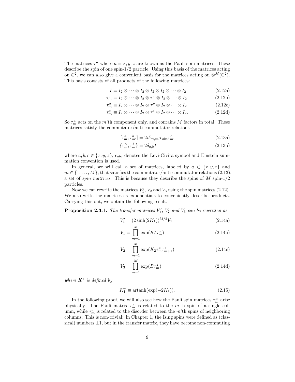The matrices  $\tau^a$  where  $a = x, y, z$  are known as the Pauli spin matrices: These describe the spin of one spin-1/2 particle. Using this basis of the matrices acting on  $\mathbb{C}^2$ , we can also give a convenient basis for the matrices acting on  $\otimes^M(\mathbb{C}^2)$ . This basis consists of all products of the following matrices:

$$
I \equiv I_2 \otimes \cdots \otimes I_2 \otimes I_2 \otimes I_2 \otimes \cdots \otimes I_2 \tag{2.12a}
$$

$$
\tau_m^x \equiv I_2 \otimes \cdots \otimes I_2 \otimes \tau^x \otimes I_2 \otimes \cdots \otimes I_2 \tag{2.12b}
$$

$$
\tau_m^y \equiv I_2 \otimes \cdots \otimes I_2 \otimes \tau^y \otimes I_2 \otimes \cdots \otimes I_2 \tag{2.12c}
$$

$$
\tau_m^z \equiv I_2 \otimes \cdots \otimes I_2 \otimes \tau^z \otimes I_2 \otimes \cdots \otimes I_2. \tag{2.12d}
$$

So  $\tau_m^a$  acts on the m'th component only, and contains M factors in total. These matrices satisfy the commutator/anti-commutator relations

$$
[\tau_m^a, \tau_{m'}^b] = 2i\delta_{m,m'}\epsilon_{abc}\tau_{m'}^c
$$
\n(2.13a)

$$
\{\tau_m^a, \tau_m^b\} = 2\delta_{a,b}I\tag{2.13b}
$$

where  $a, b, c \in \{x, y, z\}, \epsilon_{abc}$  denotes the Levi-Civita symbol and Einstein summation convention is used.

In general, we will call a set of matrices, labeled by  $a \in \{x, y, z\}$  and  $m \in \{1, \ldots, M\}$ , that satisfies the commutator/anti-commutator relations (2.13), a set of *spin matrices*. This is because they describe the spins of  $M$  spin- $1/2$ particles.

Now we can rewrite the matrices  $V_1$ ,  $V_2$  and  $V_3$  using the spin matrices (2.12). We also write the matrices as exponentials to conveniently describe products. Carrying this out, we obtain the following result.

**Proposition 2.3.1.** The transfer matrices  $V_1'$ ,  $V_2$  and  $V_3$  can be rewritten as

$$
V_1' = (2\sinh(2K_1))^{M/2} V_1 \tag{2.14a}
$$

$$
V_1 \equiv \prod_{m=1}^{M} \exp(K_1^* \tau_m^x)
$$
 (2.14b)

$$
V_2 = \prod_{m=1}^{M} \exp(K_2 \tau_m^z \tau_{m+1}^z)
$$
 (2.14c)

$$
V_3 = \prod_{m=1}^{M} \exp(B\tau_m^z) \tag{2.14d}
$$

where  $K_1^*$  is defined by

$$
K_1^* \equiv \operatorname{artanh}(\exp(-2K_1)).\tag{2.15}
$$

In the following proof, we will also see how the Pauli spin matrices  $\tau_m^a$  arise physically. The Pauli matrix  $\tau_m^z$  is related to the m'th spin of a single column, while  $\tau_m^x$  is related to the disorder between the m'th spins of neighboring columns. This is non-trivial: In Chapter 1, the Ising spins were defined as (classical) numbers  $\pm 1$ , but in the transfer matrix, they have become non-commuting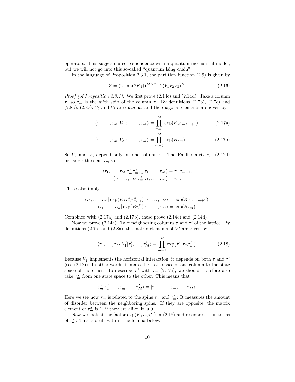operators. This suggests a correspondence with a quantum mechanical model, but we will not go into this so-called "quantum Ising chain".

In the language of Proposition 2.3.1, the partition function (2.9) is given by

$$
Z = (2\sinh(2K_1))^{MN/2} \text{Tr}(V_1 V_2 V_3)^N. \tag{2.16}
$$

*Proof (of Proposition 2.3.1).* We first prove  $(2.14c)$  and  $(2.14d)$ . Take a column τ, so τ<sub>m</sub> is the m'th spin of the column τ. By definitions (2.7b), (2.7c) and  $(2.8b)$ ,  $(2.8c)$ ,  $V_2$  and  $V_3$  are diagonal and the diagonal elements are given by

$$
\langle \tau_1, \dots, \tau_M | V_2 | \tau_1, \dots, \tau_M \rangle = \prod_{m=1}^M \exp(K_2 \tau_m \tau_{m+1}), \tag{2.17a}
$$

$$
\langle \tau_1, \dots, \tau_M | V_3 | \tau_1, \dots, \tau_M \rangle = \prod_{m=1}^M \exp(B\tau_m).
$$
 (2.17b)

So  $V_2$  and  $V_3$  depend only on one column  $\tau$ . The Pauli matrix  $\tau_m^z$  (2.12d) measures the spin  $\tau_m$  so

$$
\langle \tau_1, \ldots, \tau_M | \tau_m^z \tau_{m+1}^z | \tau_1, \ldots, \tau_M \rangle = \tau_m \tau_{m+1},
$$
  

$$
\langle \tau_1, \ldots, \tau_M | \tau_m^z | \tau_1, \ldots, \tau_M \rangle = \tau_m.
$$

These also imply

$$
\langle \tau_1, \ldots, \tau_M | \exp(K_2 \tau_m^z \tau_{m+1}^z) | \tau_1, \ldots, \tau_M \rangle = \exp(K_2 \tau_m \tau_{m+1}),
$$
  

$$
\langle \tau_1, \ldots, \tau_M | \exp(B \tau_m^z) | \tau_1, \ldots, \tau_M \rangle = \exp(B \tau_m).
$$

Combined with  $(2.17a)$  and  $(2.17b)$ , these prove  $(2.14c)$  and  $(2.14d)$ .

Now we prove (2.14a). Take neighboring columns  $\tau$  and  $\tau'$  of the lattice. By definitions (2.7a) and (2.8a), the matrix elements of  $V'_1$  are given by

$$
\langle \tau_1, \dots, \tau_M | V'_1 | \tau'_1, \dots, \tau'_M \rangle = \prod_{m=1}^M \exp(K_1 \tau_m \tau'_m). \tag{2.18}
$$

Because  $V_1'$  implements the horizontal interaction, it depends on both  $\tau$  and  $\tau'$ (see (2.18)). In other words, it maps the state space of one column to the state space of the other. To describe  $V'_1$  with  $\tau_m^x$  (2.12a), we should therefore also take  $\tau_{m}^{x}$  from one state space to the other. This means that

$$
\tau_m^x|\tau_1',\ldots,\tau_m',\ldots,\tau_M' \rangle = |\tau_1,\ldots,-\tau_m,\ldots,\tau_M \rangle.
$$

Here we see how  $\tau_m^x$  is related to the spins  $\tau_m$  and  $\tau'_m$ : It measures the amount of disorder between the neighboring spins. If they are opposite, the matrix element of  $\tau_m^x$  is 1, if they are alike, it is 0.

Now we look at the factor  $\exp(K_1 \tau_m \tau'_m)$  in (2.18) and re-express it in terms of  $\tau_m^x$ . This is dealt with in the lemma below.  $\Box$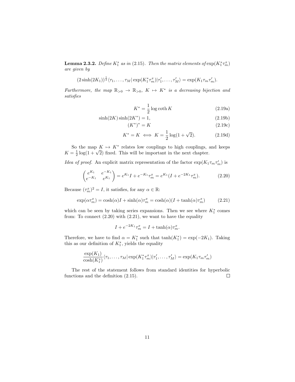**Lemma 2.3.2.** Define  $K_1^*$  as in (2.15). Then the matrix elements of  $\exp(K_1^*\tau_m^x)$ are given by

$$
(2\sinh(2K_1))^{\frac{1}{2}}\langle \tau_1,\ldots,\tau_M|\exp(K_1^*\tau_m^x)|\tau'_1,\ldots,\tau'_M\rangle=\exp(K_1\tau_m\tau'_m).
$$

Furthermore, the map  $\mathbb{R}_{>0} \to \mathbb{R}_{>0}$ ,  $K \mapsto K^*$  is a decreasing bijection and satisfies

$$
K^* = \frac{1}{2}\log\coth K\tag{2.19a}
$$

$$
\sinh(2K)\sinh(2K^*) = 1,\tag{2.19b}
$$

$$
(K^*)^* = K \tag{2.19c}
$$

$$
K^* = K \iff K = \frac{1}{2}\log(1+\sqrt{2}).\tag{2.19d}
$$

So the map  $K \mapsto K^*$  relates low couplings to high couplings, and keeps So the map  $K \mapsto K$  relates low couplings to high couplings,  $K = \frac{1}{2} \log(1 + \sqrt{2})$  fixed. This will be important in the next chapter.

*Idea of proof.* An explicit matrix representation of the factor  $\exp(K_1 \tau_m \tau'_m)$  is

$$
\begin{pmatrix} e^{K_1} & e^{-K_1} \ e^{-K_1} & e^{K_1} \end{pmatrix} = e^{K_1} I + e^{-K_1} \tau_m^x = e^{K_1} (I + e^{-2K_1} \tau_m^x). \tag{2.20}
$$

Because  $(\tau_m^x)^2 = I$ , it satisfies, for any  $\alpha \in \mathbb{R}$ :

$$
\exp(\alpha \tau_m^x) = \cosh(\alpha)I + \sinh(\alpha)\tau_m^x = \cosh(\alpha)(I + \tanh(\alpha)\tau_m^x) \tag{2.21}
$$

which can be seen by taking series expansions. Then we see where  $K_1^*$  comes from: To connect  $(2.20)$  with  $(2.21)$ , we want to have the equality

$$
I + e^{-2K_1}\tau_m^x = I + \tanh(\alpha)\tau_m^x.
$$

Therefore, we have to find  $\alpha = K_1^*$  such that  $\tanh(K_1^*) = \exp(-2K_1)$ . Taking this as our definition of  $K_1^*$ , yields the equality

$$
\frac{\exp(K_1)}{\cosh(K_1^*)}\langle \tau_1,\ldots,\tau_M|\exp(K_1^*\tau_m^x)|\tau'_1,\ldots,\tau'_M\rangle=\exp(K_1\tau_m\tau'_m)
$$

The rest of the statement follows from standard identities for hyperbolic functions and the definition (2.15).  $\Box$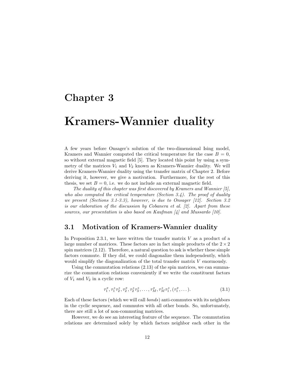### Chapter 3

## Kramers-Wannier duality

A few years before Onsager's solution of the two-dimensional Ising model, Kramers and Wannier computed the critical temperature for the case  $B = 0$ , so without external magnetic field [5]. They located this point by using a symmetry of the matrices  $V_1$  and  $V_2$  known as Kramers-Wannier duality. We will derive Kramers-Wannier duality using the transfer matrix of Chapter 2. Before deriving it, however, we give a motivation. Furthermore, for the rest of this thesis, we set  $B = 0$ , i.e. we do not include an external magnetic field.

The duality of this chapter was first discovered by Kramers and Wannier [5], who also computed the critical temperature (Section  $3.4$ ). The proof of duality we present (Sections 3.1-3.3), however, is due to Onsager [12]. Section 3.2 is our elaboration of the discussion by Cobanera et al. [2]. Apart from these sources, our presentation is also based on Kaufman [4] and Mussardo [10].

#### 3.1 Motivation of Kramers-Wannier duality

In Proposition 2.3.1, we have written the transfer matrix  $V$  as a product of a large number of matrices. These factors are in fact simple products of the  $2 \times 2$ spin matrices  $(2.12)$ . Therefore, a natural question to ask is whether these simple factors commute. If they did, we could diagonalize them independently, which would simplify the diagonalization of the total transfer matrix V enormously.

Using the commutation relations (2.13) of the spin matrices, we can summarize the commutation relations conveniently if we write the constituent factors of  $V_1$  and  $V_2$  in a cyclic row:

$$
\tau_1^x, \tau_1^z \tau_2^z, \tau_2^x, \tau_2^z \tau_3^z, \dots, \tau_M^x, \tau_M^z \tau_1^z, (\tau_1^x, \dots). \tag{3.1}
$$

Each of these factors (which we will call bonds) anti-commutes with its neighbors in the cyclic sequence, and commutes with all other bonds. So, unfortunately, there are still a lot of non-commuting matrices.

However, we do see an interesting feature of the sequence. The commutation relations are determined solely by which factors neighbor each other in the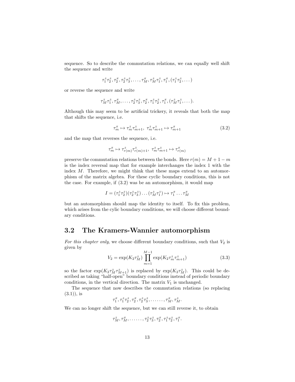sequence. So to describe the commutation relations, we can equally well shift the sequence and write

$$
\tau_1^z \tau_2^z, \tau_2^x, \tau_2^z \tau_3^z, \dots, \tau_M^x, \tau_M^z \tau_1^z, \tau_1^x, (\tau_1^z \tau_2^z, \dots)
$$

or reverse the sequence and write

$$
\tau_M^z \tau_1^z, \tau_M^x, \ldots, \tau_2^z \tau_3^z, \tau_2^x, \tau_1^z \tau_2^z, \tau_1^x, (\tau_M^z \tau_1^z, \ldots).
$$

Although this may seem to be artificial trickery, it reveals that both the map that shifts the sequence, i.e.

$$
\tau_m^x \mapsto \tau_m^z \tau_{m+1}^z, \ \tau_m^z \tau_{m+1}^z \mapsto \tau_{m+1}^x \tag{3.2}
$$

and the map that reverses the sequence, i.e.

$$
\tau_m^x \mapsto \tau_{r(m)}^z \tau_{r(m)+1}^z, \ \tau_m^z \tau_{m+1}^z \mapsto \tau_{r(m)}^x
$$

preserve the commutation relations between the bonds. Here  $r(m) = M + 1 - m$ is the index reversal map that for example interchanges the index 1 with the index M. Therefore, we might think that these maps extend to an automorphism of the matrix algebra. For these cyclic boundary conditions, this is not the case. For example, if (3.2) was be an automorphism, it would map

$$
I = (\tau_1^z \tau_2^z)(\tau_2^z \tau_3^z) \dots (\tau_M^z \tau_1^z) \mapsto \tau_1^x \dots \tau_M^x
$$

but an automorphism should map the identity to itself. To fix this problem, which arises from the cylic boundary conditions, we will choose different boundary conditions.

#### 3.2 The Kramers-Wannier automorphism

For this chapter only, we choose different boundary conditions, such that  $V_2$  is given by

$$
V_2 = \exp(K_2 \tau_M^z) \prod_{m=1}^{M-1} \exp(K_2 \tau_m^z \tau_{m+1}^z)
$$
\n(3.3)

so the factor  $\exp(K_2 \tau_M^z \tau_{M+1}^z)$  is replaced by  $\exp(K_2 \tau_M^z)$ . This could be described as taking "half-open" boundary conditions instead of periodic boundary conditions, in the vertical direction. The matrix  $V_1$  is unchanged.

The sequence that now describes the commutation relations (so replacing  $(3.1)$ , is

 $\tau_1^x, \tau_1^z \tau_2^z, \tau_2^x, \tau_2^z \tau_3^z, \ldots, \tau_M^x, \tau_M^z$ 

We can no longer shift the sequence, but we can still reverse it, to obtain

$$
\tau_M^z, \tau_M^x, \ldots, \tau_2^z \tau_3^z, \tau_2^x, \tau_1^z \tau_2^z, \tau_1^x.
$$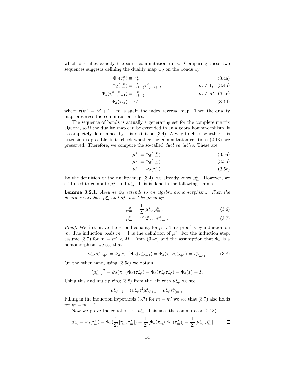which describes exactly the same commutation rules. Comparing these two sequences suggests defining the duality map  $\Phi_d$  on the bonds by

$$
\Phi_d(\tau_1^x) \equiv \tau_M^z,\tag{3.4a}
$$

$$
\Phi_d(\tau_m^x) \equiv \tau_{r(m)}^z \tau_{r(m)+1}^z, \qquad m \neq 1, \quad (3.4b)
$$

$$
\Phi_d(\tau_m^z \tau_{m+1}^z) \equiv \tau_{r(m)}^x, \qquad m \neq M, (3.4c)
$$

$$
\Phi_d(\tau_M^z) \equiv \tau_1^x,\tag{3.4d}
$$

where  $r(m) = M + 1 - m$  is again the index reversal map. Then the duality map preserves the commutation rules.

The sequence of bonds is actually a generating set for the complete matrix algebra, so if the duality map can be extended to an algebra homomorphism, it is completely determined by this definition (3.4). A way to check whether this extension is possible, is to check whether the commutation relations (2.13) are preserved. Therefore, we compute the so-called dual variables. These are

$$
\mu_m^x \equiv \Phi_d(\tau_m^x),\tag{3.5a}
$$

$$
\mu_m^y \equiv \Phi_d(\tau_m^y),\tag{3.5b}
$$

$$
\mu_m^z \equiv \Phi_d(\tau_m^z). \tag{3.5c}
$$

By the definition of the duality map (3.4), we already know  $\mu_m^x$ . However, we still need to compute  $\mu_m^y$  and  $\mu_m^z$ . This is done in the following lemma.

**Lemma 3.2.1.** Assume  $\Phi_d$  extends to an algebra homomorphism. Then the disorder variables  $\mu_m^y$  and  $\mu_m^z$  must be given by

$$
\mu_m^y = \frac{1}{2i} [\mu_m^z, \mu_m^x],\tag{3.6}
$$

$$
\mu_m^z = \tau_1^x \tau_2^x \dots \tau_{r(m)}^x. \tag{3.7}
$$

*Proof.* We first prove the second equality for  $\mu_m^z$ . This proof is by induction on m. The induction basis  $m = 1$  is the definition of  $\mu_1^z$ . For the induction step, assume (3.7) for  $m = m' < M$ . From (3.4c) and the assumption that  $\Phi_d$  is a homomorphism we see that

$$
\mu_{m'}^z \mu_{m'+1}^z = \Phi_d(\tau_{m'}^z) \Phi_d(\tau_{m'+1}^z) = \Phi_d(\tau_{m'}^z \tau_{m'+1}^z) = \tau_{r(m')}^x.
$$
 (3.8)

On the other hand, using (3.5c) we obtain

$$
(\mu_{m'}^z)^2 = \Phi_d(\tau_{m'}^z)\Phi_d(\tau_{m'}^z) = \Phi_d(\tau_{m'}^z \tau_{m'}^z) = \Phi_d(I) = I.
$$

Using this and multiplying (3.8) from the left with  $\mu^z_{m'}$  we see

$$
\mu_{m'+1}^{z} = (\mu_{m'}^{z})^{2} \mu_{m'+1}^{z} = \mu_{m'}^{z} \tau_{r(m')}^{x}.
$$

Filling in the induction hypothesis (3.7) for  $m = m'$  we see that (3.7) also holds for  $m = m' + 1$ .

Now we prove the equation for  $\mu_m^y$ . This uses the commutator (2.13):

$$
\mu_m^y = \Phi_d(\tau_m^y) = \Phi_d(\frac{1}{2i}[\tau_m^z, \tau_m^x]) = \frac{1}{2i}[\Phi_d(\tau_m^z), \Phi_d(\tau_m^x)] = \frac{1}{2i}[\mu_m^z, \mu_m^x].
$$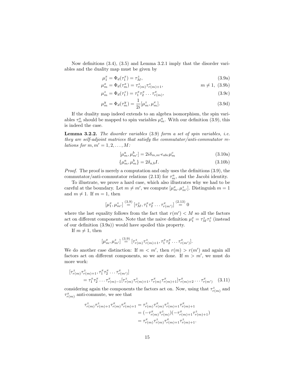Now definitions (3.4), (3.5) and Lemma 3.2.1 imply that the disorder variables and the duality map must be given by

$$
\mu_1^x = \Phi_d(\tau_1^x) = \tau_M^z,\tag{3.9a}
$$

$$
\mu_m^x = \Phi_d(\tau_m^x) = \tau_{r(m)}^z \tau_{r(m)+1}^z, \qquad m \neq 1, (3.9b)
$$

$$
\mu_m^z = \Phi_d(\tau_1^z) = \tau_1^x \tau_2^x \dots \tau_{r(m)}^x,\tag{3.9c}
$$

$$
u_m^y = \Phi_d(\tau_m^y) = \frac{1}{2i} [\mu_m^z, \mu_m^x].
$$
\n(3.9d)

If the duality map indeed extends to an algebra isomorphism, the spin variables  $\tau_m^a$  should be mapped to spin variables  $\mu_m^a$ . With our definition (3.9), this is indeed the case.

Lemma 3.2.2. The disorder variables (3.9) form a set of spin variables, i.e. they are self-adjoint matrices that satisfy the commutator/anti-commutator relations for  $m, m' = 1, 2, \ldots, M$ :

$$
[\mu_m^a, \mu_{m'}^b] = 2i\delta_{m,m'}\epsilon_{abc}\mu_m^c \tag{3.10a}
$$

$$
\{\mu_m^a, \mu_m^b\} = 2\delta_{a,b}I. \tag{3.10b}
$$

Proof. The proof is merely a computation and only uses the definitions (3.9), the commutator/anti-commutator relations (2.13) for  $\tau_m^a$ , and the Jacobi identity.

To illustrate, we prove a hard case, which also illustrates why we had to be careful at the boundary. Let  $m \neq m'$ , we compute  $[\mu_m^x, \mu_{m'}^z]$ . Distinguish  $m = 1$ and  $m \neq 1$ . If  $m = 1$ , then

$$
[\mu_1^x, \mu_{m'}^z] \stackrel{(3.9)}{=} [\tau_M^z, \tau_1^x \tau_2^x \dots \tau_{r(m')}^x] \stackrel{(2.13)}{=} 0
$$

where the last equality follows from the fact that  $r(m') < M$  so all the factors act on different components. Note that the naive definition  $\mu_1^x = \tau_M^z \tau_1^z$  (instead of our definition (3.9a)) would have spoiled this property.

If  $m \neq 1$ , then

µ

$$
[\mu_m^x, \mu_{m'}^z] \stackrel{(3.9)}{=} [\tau_{r(m)}^z \tau_{r(m)+1}^z, \tau_1^x \tau_2^x \dots \tau_{r(m')}^x].
$$

We do another case distinction: If  $m < m'$ , then  $r(m) > r(m')$  and again all factors act on different components, so we are done. If  $m > m'$ , we must do more work:

$$
[\tau_{r(m)}^z \tau_{r(m)+1}^z, \tau_1^x \tau_2^x \dots \tau_{r(m')}^x]
$$
  
=  $\tau_1^x \tau_2^x \dots \tau_{r(m)-1}^x [\tau_{r(m)}^z \tau_{r(m)+1}^z, \tau_{r(m)}^x \tau_{r(m)+1}^x] \tau_{r(m)+2}^x \dots \tau_{r(m')}^x$  (3.11)

considering again the components the factors act on. Now, using that  $\tau_{r(m)}^z$  and  $\tau_{r(m)}^x$  anti-commute, we see that

$$
\tau_{r(m)}^z \tau_{r(m)+1}^z \tau_{r(m)}^x \tau_{r(m)+1}^x = \tau_{r(m)}^z \tau_{r(m)}^z \tau_{r(m)+1}^z \tau_{r(m)+1}^x
$$
  
= 
$$
(-\tau_{r(m)}^x \tau_{r(m)}^z)(-\tau_{r(m)+1}^z \tau_{r(m)+1}^z)
$$
  
= 
$$
\tau_{r(m)}^z \tau_{r(m)+1}^z \tau_{r(m)+1}^z.
$$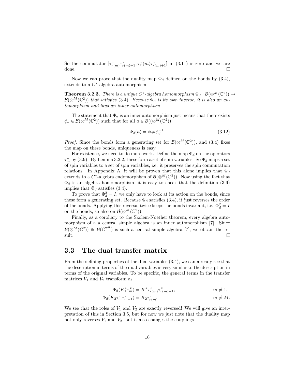So the commutator  $[\tau^z_{r(m)}\tau^z_{r(m)+1}, \tau^x_r(m)\tau^x_{r(m)+1}]$  in (3.11) is zero and we are done.  $\Box$ 

Now we can prove that the duality map  $\Phi_d$  defined on the bonds by (3.4), extends to a  $C^*$ -algebra automorphism.

**Theorem 3.2.3.** There is a unique C<sup>\*</sup>-algebra homomorphism  $\Phi_d : \mathcal{B}(\otimes^M(\mathbb{C}^2)) \to$  $\mathcal{B}(\otimes^M(\mathbb{C}^2))$  that satisfies (3.4). Because  $\Phi_d$  is its own inverse, it is also an automorphism and thus an inner automorphism.

The statement that  $\Phi_d$  is an inner automorphism just means that there exists  $\phi_d \in \mathcal{B}(\otimes^M (\mathbb{C}^2))$  such that for all  $a \in \mathcal{B}((\otimes^M (\mathbb{C}^2)))$ 

$$
\Phi_d(a) = \phi_d a \phi_d^{-1}.\tag{3.12}
$$

*Proof.* Since the bonds form a generating set for  $\mathcal{B}(\otimes^M(\mathbb{C}^2))$ , and (3.4) fixes the map on these bonds, uniqueness is easy.

For existence, we need to do more work. Define the map  $\Phi_d$  on the operators  $\tau_m^a$  by (3.9). By Lemma 3.2.2, these form a set of spin variables. So  $\Phi_d$  maps a set of spin variables to a set of spin variables, i.e. it preserves the spin commutation relations. In Appendix A, it will be proven that this alone implies that  $\Phi_d$ extends to a  $C^*$ -algebra endomorphism of  $\mathcal{B}(\otimes^M(\mathbb{C}^2))$ . Now using the fact that  $\Phi_d$  is an algebra homomorphism, it is easy to check that the definition (3.9) implies that  $\Phi_d$  satisfies (3.4).

To prove that  $\Phi_d^2 = I$ , we only have to look at its action on the bonds, since these form a generating set. Because  $\Phi_d$  satisfies (3.4), it just reverses the order of the bonds. Applying this reversal twice keeps the bonds invariant, i.e.  $\Phi_d^2 = I$ on the bonds, so also on  $\mathcal{B}(\otimes^M(\mathbb{C}^2))$ .

Finally, as a corollary to the Skolem-Noether theorem, every algebra automorphism of a a central simple algebra is an inner automorphism [7]. Since  $\mathcal{B}(\otimes^M(\mathbb{C}^2)) \cong \mathcal{B}(\mathbb{C}^{2^M})$  is such a central simple algebra [7], we obtain the result.  $\Box$ 

#### 3.3 The dual transfer matrix

From the defining properties of the dual variables (3.4), we can already see that the description in terms of the dual variables is very similar to the description in terms of the original variables. To be specific, the general terms in the transfer matrices  $V_1$  and  $V_2$  transform as

$$
\Phi_d(K_1^* \tau_m^x) = K_1^* \tau_{r(m)}^z \tau_{r(m)+1}^z, \qquad m \neq 1,
$$

$$
\Phi_d(K_2 \tau_m^z \tau_{m+1}^z) = K_2 \tau_{r(m)}^x \qquad m \neq M.
$$

We see that the roles of  $V_1$  and  $V_2$  are exactly reversed! We will give an interpretation of this in Section 3.5, but for now we just note that the duality map not only reverses  $V_1$  and  $V_2$ , but it also changes the couplings.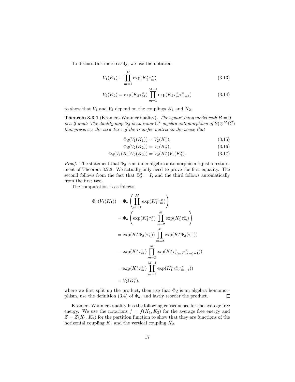To discuss this more easily, we use the notation

$$
V_1(K_1) \equiv \prod_{m=1}^{M} \exp(K_1^* \tau_m^x)
$$
\n(3.13)

$$
V_2(K_2) \equiv \exp(K_2 \tau_M^z) \prod_{m=1}^{M-1} \exp(K_2 \tau_m^z \tau_{m+1}^z)
$$
 (3.14)

to show that  $V_1$  and  $V_2$  depend on the couplings  $K_1$  and  $K_2$ .

**Theorem 3.3.1** (Kramers-Wannier duality). The square Ising model with  $B = 0$ is self-dual: The duality map  $\Phi_d$  is an inner  $C^*$ -algebra automorphism of  $\mathcal{B}(\otimes^M \mathbb{C}^2)$ that preserves the structure of the transfer matrix in the sense that

$$
\Phi_d(V_1(K_1)) = V_2(K_1^*),\tag{3.15}
$$

$$
\Phi_d(V_2(K_2)) = V_1(K_2^*),\tag{3.16}
$$

$$
\Phi_d(V_1(K_1)V_2(K_2)) = V_2(K_1^*)V_1(K_2^*).
$$
\n(3.17)

*Proof.* The statement that  $\Phi_d$  is an inner algebra automorphism is just a restatement of Theorem 3.2.3. We actually only need to prove the first equality. The second follows from the fact that  $\Phi_d^2 = I$ , and the third follows automatically from the first two.

The computation is as follows:

$$
\Phi_d(V_1(K_1)) = \Phi_d \left( \prod_{m=1}^M \exp(K_1^* \tau_m^x) \right)
$$
  
\n
$$
= \Phi_d \left( \exp(K_1^* \tau_1^x) \prod_{m=2}^M \exp(K_1^* \tau_m^x) \right)
$$
  
\n
$$
= \exp(K_1^* \Phi_d(\tau_1^x)) \prod_{m=2}^M \exp(K_1^* \Phi_d(\tau_m^x))
$$
  
\n
$$
= \exp(K_1^* \tau_M^z) \prod_{m=2}^M \exp(K_1^* \tau_{m(m)}^z \tau_{m(m)+1}^z))
$$
  
\n
$$
= \exp(K_1^* \tau_M^z) \prod_{m=1}^{M-1} \exp(K_1^* \tau_m^z \tau_{m+1}^z))
$$
  
\n
$$
= V_2(K_1^*),
$$

where we first split up the product, then use that  $\Phi_d$  is an algebra homomorphism, use the definition (3.4) of  $\Phi_d$ , and lastly reorder the product.  $\Box$ 

Kramers-Wanniers duality has the following consequence for the average free energy. We use the notations  $f = f(K_1, K_2)$  for the average free energy and  $Z = Z(K_1, K_2)$  for the partition function to show that they are functions of the horizontal coupling  $K_1$  and the vertical coupling  $K_2$ .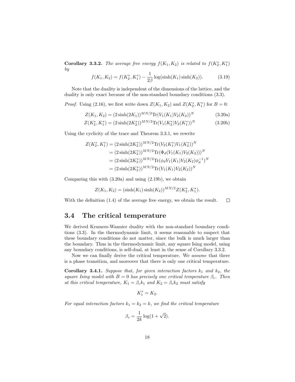**Corollary 3.3.2.** The average free energy  $f(K_1, K_2)$  is related to  $f(K_2^*, K_1^*)$ by

$$
f(K_1, K_2) = f(K_2^*, K_1^*) - \frac{1}{2\beta} \log(\sinh(K_1)\sinh(K_2)).
$$
 (3.19)

Note that the duality is independent of the dimensions of the lattice, and the duality is only exact because of the non-standard boundary conditions (3.3).

*Proof.* Using (2.16), we first write down  $Z(K_1, K_2)$  and  $Z(K_2^*, K_1^*)$  for  $B = 0$ :

$$
Z(K_1, K_2) = (2\sinh(2K_1))^{MN/2} \text{Tr}(V_1(K_1)V_2(K_2))^N
$$
\n(3.20a)

$$
Z(K_2^*, K_1^*) = (2\sinh(2K_2^*))^{MN/2} \text{Tr}(V_1(K_2^*)V_2(K_1^*))^N
$$
 (3.20b)

Using the cyclicity of the trace and Theorem 3.3.1, we rewrite

$$
Z(K_2^*, K_1^*) = (2\sinh(2K_2^*))^{MN/2} \text{Tr}(V_2(K_1^*)V_1(K_2^*))^N
$$
  
=  $(2\sinh(2K_2^*))^{MN/2} \text{Tr}(\Phi_d(V_1(K_1)V_2(K_2)))^N$   
=  $(2\sinh(2K_2^*))^{MN/2} \text{Tr}(\phi_d V_1(K_1)V_2(K_2)\phi_d^{-1})^N$   
=  $(2\sinh(2K_2^*))^{MN/2} \text{Tr}(V_1(K_1)V_2(K_2))^N$ 

Comparing this with (3.20a) and using (2.19b), we obtain

$$
Z(K_1, K_2) = (\sinh(K_1)\sinh(K_2))^{MN/2}Z(K_2^*, K_1^*).
$$

With the definition (1.4) of the average free energy, we obtain the result.  $\Box$ 

#### 3.4 The critical temperature

We derived Kramers-Wannier duality with the non-standard boundary conditions (3.3). In the thermodynamic limit, it seems reasonable to suspect that these boundary conditions do not matter, since the bulk is much larger than the boundary. Thus in the thermodynamic limit, any square Ising model, using any boundary conditions, is self-dual, at least in the sense of Corollary 3.3.2.

Now we can finally derive the critical temperature. We *assume* that there is a phase transition, and moreover that there is only one critical temperature.

**Corollary 3.4.1.** Suppose that, for given interaction factors  $k_1$  and  $k_2$ , the square Ising model with  $B = 0$  has precisely one critical temperature  $\beta_c$ . Then at this critical temperature,  $K_1 = \beta_c k_1$  and  $K_2 = \beta_c k_2$  must satisfy

$$
K_1^*=K_2.
$$

For equal interaction factors  $k_1 = k_2 = k$ , we find the critical temperature

$$
\beta_c = \frac{1}{2k} \log(1 + \sqrt{2}).
$$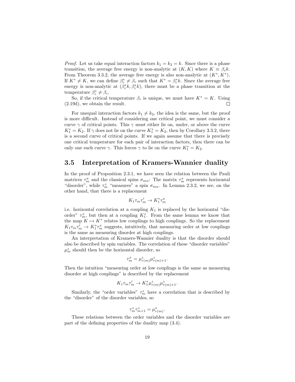*Proof.* Let us take equal interaction factors  $k_1 = k_2 = k$ . Since there is a phase transition, the average free energy is non-analytic at  $(K, K)$  where  $K \equiv \beta_c k$ . From Theorem 3.3.2, the average free energy is also non-analytic at  $(K^*, K^*)$ . If  $K^* \neq K$ , we can define  $\beta_c^* \neq \beta_c$  such that  $K^* = \beta_c^* k$ . Since the average free energy is non-analytic at  $(\beta_c^* k, \beta_c^* k)$ , there must be a phase transition at the temperature  $\beta_c^* \neq \beta_c$ .

So, if the critical temperature  $\beta_c$  is unique, we must have  $K^* = K$ . Using (2.19d), we obtain the result.  $\Box$ 

For unequal interaction factors  $k_1 \neq k_2$ , the idea is the same, but the proof is more difficult. Instead of considering one critical point, we must consider a curve  $\gamma$  of critical points. This  $\gamma$  must either lie on, under, or above the curve  $K_1^* = K_2$ . If  $\gamma$  does not lie on the curve  $K_1^* = K_2$ , then by Corollary 3.3.2, there is a second curve of critical points. If we again assume that there is precisely one critical temperature for each pair of interaction factors, then there can be only one such curve  $\gamma$ . This forces  $\gamma$  to lie on the curve  $K_1^* = K_2$ .

#### 3.5 Interpretation of Kramers-Wannier duality

In the proof of Proposition 2.3.1, we have seen the relation between the Pauli matrices  $\tau_m^a$  and the classical spins  $\sigma_{mn}$ : The matrix  $\tau_m^x$  represents horizontal "disorder", while  $\tau_m^z$  "measures" a spin  $\sigma_{mn}$ . In Lemma 2.3.2, we see, on the other hand, that there is a replacement

$$
K_1\tau_m\tau'_m\to K_1^*\tau_m^x
$$

i.e. horizontal correlation at a coupling  $K_1$  is replaced by the horizontal "disorder"  $\tau_m^x$ , but then at a coupling  $K_1^*$ . From the same lemma we know that the map  $K \mapsto K^*$  relates low couplings to high couplings. So the replacement  $K_1 \tau_m \tau'_m \to K_1^* \tau_m^x$  suggests, intuitively, that measuring order at low couplings is the same as measuring disorder at high couplings.

An interpretation of Kramers-Wannier duality is that the disorder should also be described by spin variables. The correlation of these "disorder variables"  $\mu^z_m$  should then be the horizontal disorder, so

$$
\tau_m^x = \mu_{r(m)}^z \mu_{r(m)+1}^z.
$$

Then the intuition "measuring order at low couplings is the same as measuring disorder at high couplings" is described by the replacement

$$
K_1 \tau_m \tau'_m \to K_1^* \mu_{r(m)}^z \mu_{r(m)+1}^z.
$$

Similarly, the "order variables"  $\tau_m^z$  have a correlation that is described by the "disorder" of the disorder variables, so

$$
\tau_m^z \tau_{m+1}^z = \mu_{r(m)}^x
$$

.

These relations between the order variables and the disorder variables are part of the defining properties of the duality map (3.4).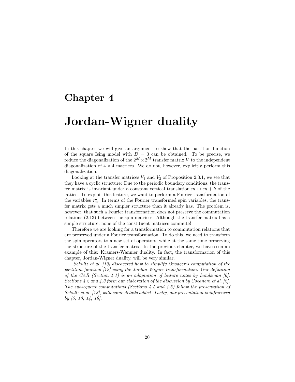### Chapter 4

## Jordan-Wigner duality

In this chapter we will give an argument to show that the partition function of the square Ising model with  $B = 0$  can be obtained. To be precise, we reduce the diagonalization of the  $2^M \times 2^M$  transfer matrix V to the independent diagonalization of  $4 \times 4$  matrices. We do not, however, explicitly perform this diagonalization.

Looking at the transfer matrices  $V_1$  and  $V_2$  of Proposition 2.3.1, we see that they have a cyclic structure: Due to the periodic boundary conditions, the transfer matrix is invariant under a constant vertical translation  $m \mapsto m + k$  of the lattice. To exploit this feature, we want to perform a Fourier transformation of the variables  $\tau_m^a$ . In terms of the Fourier transformed spin variables, the transfer matrix gets a much simpler structure than it already has. The problem is, however, that such a Fourier transformation does not preserve the commutation relations (2.13) between the spin matrices. Although the transfer matrix has a simple structure, none of the constituent matrices commute!

Therefore we are looking for a transformation to commutation relations that are preserved under a Fourier transformation. To do this, we need to transform the spin operators to a new set of operators, while at the same time preserving the structure of the transfer matrix. In the previous chapter, we have seen an example of this: Kramers-Wannier duality. In fact, the transformation of this chapter, Jordan-Wigner duality, will be very similar.

Schultz et al. [13] discovered how to simplify Onsager's computation of the partition function [12] using the Jordan-Wigner transformation. Our definition of the CAR (Section 4.1) is an adaptation of lecture notes by Landsman  $[6]$ . Sections 4.2 and 4.3 form our elaboration of the discussion by Cobanera et al. [2]. The subsequent computations (Sections 4.4 and 4.5) follow the presentation of Schultz et al. [13], with some details added. Lastly, our presentation is influenced by [6, 10, 14, 16].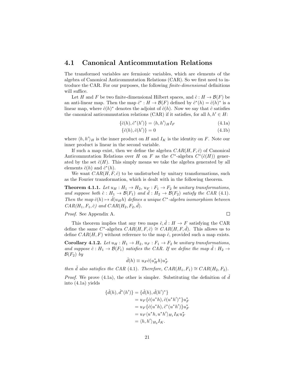#### 4.1 Canonical Anticommutation Relations

The transformed variables are fermionic variables, which are elements of the algebra of Canonical Anticommutation Relations (CAR). So we first need to introduce the CAR. For our purposes, the following finite-dimensional definitions will suffice.

Let H and F be two finite-dimensional Hilbert spaces, and  $\hat{c}: H \to \mathcal{B}(F)$  be an anti-linear map. Then the map  $\hat{c}^* : H \to \mathcal{B}(F)$  defined by  $\hat{c}^*(h) = \hat{c}(h)^*$  is a linear map, where  $\hat{c}(h)^*$  denotes the adjoint of  $\hat{c}(h)$ . Now we say that  $\hat{c}$  satisfies the canonical anticommutation relations (CAR) if it satisfies, for all  $h, h' \in H$ :

$$
\{\hat{c}(h), \hat{c}^*(h')\} = \langle h, h'\rangle_H I_F \tag{4.1a}
$$

$$
\{\hat{c}(h), \hat{c}(h')\} = 0\tag{4.1b}
$$

where  $\langle h, h' \rangle_H$  is the inner product on H and  $I_K$  is the identity on F. Note our inner product is linear in the second variable.

If such a map exist, then we define the algebra  $CAR(H, F, \hat{c})$  of Canonical Anticommutation Relations over H on F as the  $C^*$ -algebra  $C^*(\hat{c}(H))$  generated by the set  $\hat{c}(H)$ . This simply means we take the algebra generated by all elements  $\hat{c}(h)$  and  $\hat{c}^*(h)$ .

We want  $CAR(H, F, \hat{c})$  to be undisturbed by unitary transformations, such as the Fourier transformation, which is dealt with in the following theorem.

**Theorem 4.1.1.** Let  $u_H : H_1 \to H_2$ ,  $u_F : F_1 \to F_2$  be unitary transformations, and suppose both  $\hat{c}: H_1 \to \mathcal{B}(F_1)$  and  $\hat{d}: H_2 \to \mathcal{B}(F_2)$  satisfy the CAR (4.1). Then the map  $\hat{c}(h) \mapsto \hat{d}(u_H h)$  defines a unique C<sup>\*</sup>-algebra isomorphism between  $CAR(H_1, F_1, \hat{c})$  and  $CAR(H_2, F_2, \hat{d})$ .

Proof. See Appendix A.

 $\Box$ 

This theorem implies that any two maps  $\hat{c}, \hat{d}: H \to F$  satisfying the CAR define the same C<sup>\*</sup>-algebra  $CAR(H, F, \hat{c}) \cong CAR(H, F, \hat{d})$ . This allows us to define  $CAR(H, F)$  without reference to the map  $\hat{c}$ , provided such a map exists.

**Corollary 4.1.2.** Let  $u_H : H_1 \to H_2$ ,  $u_F : F_1 \to F_2$  be unitary transformations, and suppose  $\hat{c}: H_1 \to \mathcal{B}(F_1)$  satisfies the CAR. If we define the map  $d: H_2 \to$  $\mathcal{B}(F_2)$  by

$$
\hat{d}(h) \equiv u_F \hat{c}(u_H^* h) u_F^*
$$

then  $\hat{d}$  also satisfies the CAR (4.1). Therefore,  $CAR(H_1, F_1) \cong CAR(H_2, F_2)$ .

*Proof.* We prove  $(4.1a)$ , the other is simpler. Substituting the definition of d into (4.1a) yields

$$
\begin{aligned} \{\hat{d}(h), \hat{d}^*(h')\} &= \{\hat{d}(h), \hat{d}(h')^*\} \\ &= u_F\{\hat{c}(u^*h), \hat{c}(u^*h')^*\}u_F^* \\ &= u_F\{\hat{c}(u^*h), \hat{c}^*(u^*h')\}u_F^* \\ &= u_F\{u^*h, u^*h'\}_{H_1}I_Ku_F^* \\ &= \langle h, h'\rangle_{H_2}I_K. \end{aligned}
$$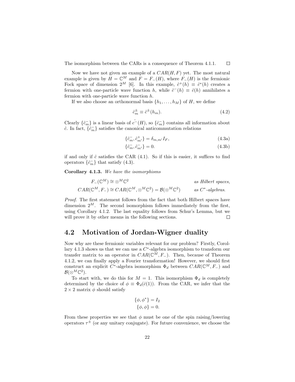The isomorphism between the CARs is a consequence of Theorem 4.1.1.  $\Box$ 

Now we have not given an example of a  $CAR(H, F)$  yet. The most natural example is given by  $H = \mathbb{C}^M$  and  $F = F_-(H)$ , where  $F_-(H)$  is the fermionic Fock space of dimension  $2^M$  [6]. In this example,  $\hat{c}^+(h) \equiv \hat{c}^*(h)$  creates a fermion with one-particle wave function h, while  $\hat{c}^{-}(h) \equiv \hat{c}(h)$  annihilates a fermion with one-particle wave function h.

If we also choose an orthonormal basis  $\{h_1, \ldots, h_M\}$  of H, we define

$$
\hat{c}_m^{\pm} \equiv \hat{c}^{\pm}(h_m). \tag{4.2}
$$

Clearly  $\{\hat{c}_m^-\}$  is a linear basis of  $\hat{c}^-(H)$ , so  $\{\hat{c}_m^-\}$  contains all information about  $\hat{c}$ . In fact,  $\{\hat{c}_m^-\}$  satisfies the canonical anticommutation relations

$$
\{\hat{c}_m^-, \hat{c}_{m'}^+\} = \delta_{m,m'} I_F,\tag{4.3a}
$$

$$
\{\hat{c}_m^-, \hat{c}_{m'}^-\} = 0. \tag{4.3b}
$$

if and only if  $\hat{c}$  satisfies the CAR  $(4.1)$ . So if this is easier, it suffices to find operators  $\{\hat{c}_m^-\}$  that satisfy (4.3).

Corollary 4.1.3. We have the isomorphisms

$$
F_{-}(\mathbb{C}^{M}) \cong \otimes^{M}\mathbb{C}^{2} \qquad as Hilbert spaces,
$$
  

$$
CAR(\mathbb{C}^{M}, F_{-}) \cong CAR(\mathbb{C}^{M}, \otimes^{M}\mathbb{C}^{2}) = B(\otimes^{M}\mathbb{C}^{2}) \qquad as \ C^{*}\text{-algebras}.
$$

Proof. The first statement follows from the fact that both Hilbert spaces have dimension  $2^M$ . The second isomorphism follows immediately from the first, using Corollary 4.1.2. The last equality follows from Schur's Lemma, but we will prove it by other means in the following sections.  $\Box$ 

#### 4.2 Motivation of Jordan-Wigner duality

Now why are these fermionic variables relevant for our problem? Firstly, Corollary 4.1.3 shows us that we can use a  $C^*$ -algebra isomorphism to transform our transfer matrix to an operator in  $CAR(\mathbb{C}^M, F_{-})$ . Then, because of Theorem 4.1.2, we can finally apply a Fourier transformation! However, we should first construct an explicit  $C^*$ -algebra isomorphism  $\Phi_d$  between  $CAR(\mathbb{C}^M, F_-)$  and  $\mathcal{B}(\otimes^M \mathbb{C}^2).$ 

To start with, we do this for  $M = 1$ . This isomorphism  $\Phi_d$  is completely determined by the choice of  $\phi \equiv \Phi_d(\hat{c}(1))$ . From the CAR, we infer that the  $2 \times 2$  matrix  $\phi$  should satisfy

$$
\{\phi, \phi^*\} = I_2
$$
  

$$
\{\phi, \phi\} = 0.
$$

From these properties we see that  $\phi$  must be one of the spin raising/lowering operators  $\tau^{\pm}$  (or any unitary conjugate). For future convenience, we choose the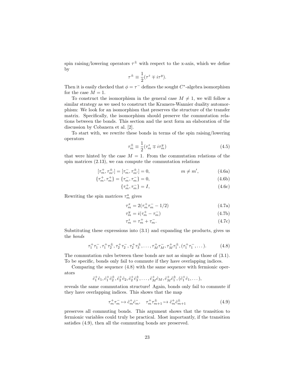spin raising/lowering operators  $\tau^{\pm}$  with respect to the x-axis, which we define by

$$
\tau^{\pm} \equiv \frac{1}{2} (\tau^z \mp i \tau^y).
$$

Then it is easily checked that  $\phi = \tau^-$  defines the sought  $C^*$ -algebra isomorphism for the case  $M = 1$ .

To construct the isomorphism in the general case  $M \neq 1$ , we will follow a similar strategy as we used to construct the Kramers-Wannier duality automorphism: We look for an isomorphism that preserves the structure of the transfer matrix. Specifically, the isomorphism should preserve the commutation relations between the bonds. This section and the next form an elaboration of the discussion by Cobanera et al. [2].

To start with, we rewrite these bonds in terms of the spin raising/lowering operators

$$
\tau_m^{\pm} \equiv \frac{1}{2} (\tau_m^z \mp i\tau_m^y) \tag{4.5}
$$

that were hinted by the case  $M = 1$ . From the commutation relations of the spin matrices (2.13), we can compute the commutation relations

$$
[\tau_m^+, \tau_{m'}^\pm] = [\tau_m^-, \tau_{m'}^\pm] = 0, \qquad m \neq m', \qquad (4.6a)
$$

$$
\{\tau_m^+, \tau_m^+\} = \{\tau_m^-, \tau_m^-\} = 0,\tag{4.6b}
$$

$$
\{\tau_m^+, \tau_m^-\} = I,\tag{4.6c}
$$

Rewriting the spin matrices  $\tau_m^a$  gives

$$
\tau_m^x = 2(\tau_m^+ \tau_m^- - 1/2) \tag{4.7a}
$$

$$
\tau_m^y = i(\tau_m^+ - \tau_m^-) \tag{4.7b}
$$

$$
\tau_m^z = \tau_m^+ + \tau_m^-.
$$
\n
$$
(4.7c)
$$

Substituting these expressions into (3.1) and expanding the products, gives us the bonds

$$
\tau_1^+\tau_1^-, \tau_1^+\tau_2^{\pm}, \tau_2^+\tau_2^-, \tau_2^+\tau_3^{\pm}, \dots, \tau_M^+\tau_M^-, \tau_M^+\tau_1^{\pm}, (\tau_1^+\tau_1^-, \dots). \tag{4.8}
$$

The commutation rules between these bonds are not as simple as those of (3.1). To be specific, bonds only fail to commute if they have overlapping indices.

Comparing the sequence (4.8) with the same sequence with fermionic operators

$$
\hat{c}_1^+ \hat{c}_1, \hat{c}_1^+ \hat{c}_2^+, \hat{c}_2^+ \hat{c}_2, \hat{c}_2^+ \hat{c}_3^+, \ldots, \hat{c}_M^+ \hat{c}_M, \hat{c}_M^+ \hat{c}_1^+, (\hat{c}_1^+ \hat{c}_1, \ldots),
$$

reveals the same commutation structure! Again, bonds only fail to commute if they have overlapping indices. This shows that the map

$$
\tau_m^+ \tau_m^- \to \hat{c}_m^+ \hat{c}_m^-, \quad \tau_m^+ \tau_{m+1}^{\pm} \to \hat{c}_m^+ \hat{c}_{m+1}^{\pm} \tag{4.9}
$$

preserves all commuting bonds. This argument shows that the transition to fermionic variables could truly be practical. Most importantly, if the transition satisfies (4.9), then all the commuting bonds are preserved.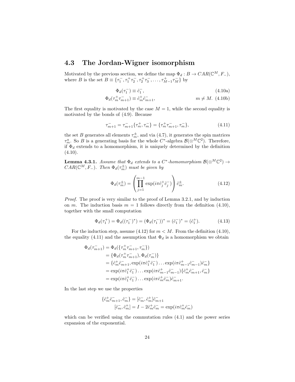#### 4.3 The Jordan-Wigner isomorphism

Motivated by the previous section, we define the map  $\Phi_d : B \to CAR(\mathbb{C}^M, F_-),$ where B is the set  $B \equiv \{\tau_1^-, \tau_1^+ \tau_2^-, \tau_2^+ \tau_3^-, \dots, \tau_{M-1}^+ \tau_M^-\}$  by

$$
\Phi_d(\tau_1^-) \equiv \hat{c}_1^-, \tag{4.10a}
$$

$$
\Phi_d(\tau_m^+ \tau_{m+1}^-) \equiv \hat{c}_m^+ \hat{c}_{m+1}^-,\qquad m \neq M. \tag{4.10b}
$$

The first equality is motivated by the case  $M = 1$ , while the second equality is motivated by the bonds of (4.9). Because

$$
\tau_{m+1}^- = \tau_{m+1}^- \{ \tau_m^+, \tau_m^-\} = \{ \tau_m^+ \tau_{m+1}^-, \tau_m^-\},\tag{4.11}
$$

the set B generates all elements  $\tau_m^{\pm}$ , and via  $(4.7)$ , it generates the spin matrices  $\tau_m^a$ . So B is a generating basis for the whole  $C^*$ -algebra  $\mathcal{B}(\otimes^M \mathbb{C}^2)$ . Therefore, if  $\Phi_d$  extends to a homomorphism, it is uniquely determined by the definition  $(4.10).$ 

**Lemma 4.3.1.** Assume that  $\Phi_d$  extends to a  $C^*$ -homomorphism  $\mathcal{B}(\otimes^M \mathbb{C}^2) \to$  $CAR(\mathbb{C}^M, F_-)$ . Then  $\Phi_d(\tau_m^{\pm})$  must be given by

$$
\Phi_d(\tau_m^{\pm}) = \left(\prod_{j=1}^{m-1} \exp(i\pi \hat{c}_j^{\pm} \hat{c}_j^{-})\right) \hat{c}_m^{\pm}.
$$
\n(4.12)

Proof. The proof is very similar to the proof of Lemma 3.2.1, and by induction on m. The induction basis  $m = 1$  follows directly from the definition (4.10), together with the small computation

$$
\Phi_d(\tau_1^+) = \Phi_d((\tau_1^-)^*) = (\Phi_d(\tau_1^-))^* = (\hat{c}_1^-)^* = (\hat{c}_1^+). \tag{4.13}
$$

For the induction step, assume (4.12) for  $m < M$ . From the definition (4.10), the equality (4.11) and the assumption that  $\Phi_d$  is a homomorphism we obtain

$$
\Phi_d(\tau_{m+1}^-) = \Phi_d(\{\tau_m^+ \tau_{m+1}^-, \tau_m^-\})
$$
\n
$$
= \{\Phi_d(\tau_m^+ \tau_{m+1}^-), \Phi_d(\tau_m^-)\}
$$
\n
$$
= \{\hat{c}_m^+ \hat{c}_{m+1}^-, \exp(i\pi \hat{c}_1^+ \hat{c}_1^-) \dots \exp(i\pi \hat{c}_{m-1}^+ \hat{c}_{m-1}^-) \hat{c}_m^-\}
$$
\n
$$
= \exp(i\pi \hat{c}_1^+ \hat{c}_1^-) \dots \exp(i\pi \hat{c}_{m-1}^+ \hat{c}_{m-1}^-) \{\hat{c}_m^+ \hat{c}_{m+1}^-, \hat{c}_m^-\}
$$
\n
$$
= \exp(i\pi \hat{c}_1^+ \hat{c}_1^-) \dots \exp(i\pi \hat{c}_m^+ \hat{c}_m^-) \hat{c}_{m+1}^-.
$$

In the last step we use the properties

$$
\begin{aligned} \{\hat{c}^+_m\hat{c}^-_{m+1},\hat{c}^-_m\} &= [\hat{c}^-_m,\hat{c}^+_m]\hat{c}^-_{m+1} \\ [\hat{c}^-_m,\hat{c}^+_m] &= I-2\hat{c}^+_m\hat{c}^-_m = \exp(i\pi\hat{c}^+_m\hat{c}^-_m) \end{aligned}
$$

which can be verified using the commutation rules (4.1) and the power series expansion of the exponential.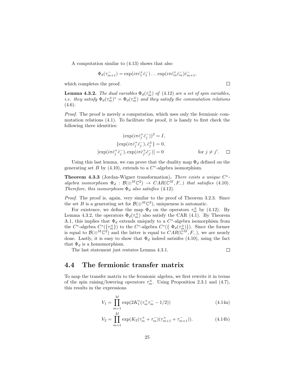A computation similar to (4.13) shows that also

$$
\Phi_d(\tau_{m+1}^-) = \exp(i\pi \hat{c}_1^+ \hat{c}_1^-) \dots \exp(i\pi \hat{c}_m^+ \hat{c}_m^-) \hat{c}_{m+1}^-
$$

which completes the proof.

**Lemma 4.3.2.** The dual variables  $\Phi_d(\tau_m^{\pm})$  of (4.12) are a set of spin variables, *i.e.* they satisfy  $\Phi_d(\tau_m^{\pm})^* = \Phi_d(\tau_m^{\mp})$  and they satisfy the commutation relations  $(4.6).$ 

Proof. The proof is merely a computation, which uses only the fermionic commutation relations (4.1). To facilitate the proof, it is handy to first check the following three identities:

$$
(\exp(i\pi \hat{c}_j^+ \hat{c}_j^-))^2 = I,
$$
  
\n
$$
\{\exp(i\pi \hat{c}_j^+ \hat{c}_j^-), \hat{c}_j^{\pm}\} = 0,
$$
  
\n
$$
[\exp(i\pi \hat{c}_j^+ \hat{c}_j^-), \exp(i\pi \hat{c}_j^+ \hat{c}_{j'}^-)] = 0
$$
 for  $j \neq j'.$ 

Using this last lemma, we can prove that the duality map  $\Phi_d$  defined on the generating set  $B$  by (4.10), extends to a  $C^*$ -algebra isomorphism.

Theorem 4.3.3 (Jordan-Wigner transformation). There exists a unique  $C^*$ algebra isomorphism  $\Phi_d : \mathcal{B}(\otimes^M \mathbb{C}^2) \to \text{CAR}(\mathbb{C}^M, F_-)$  that satisfies (4.10). Therefore, this isomorphism  $\Phi_d$  also satisfies (4.12).

Proof. The proof is, again, very similar to the proof of Theorem 3.2.3. Since the set B is a generating set for  $\mathcal{B}(\otimes^M \mathbb{C}^2)$ , uniqueness is automatic.

For existence, we define the map  $\Phi_d$  on the operators  $\tau_m^{\pm}$  by (4.12). By Lemma 4.3.2, the operators  $\Phi_d(\tau_m^{\pm})$  also satisfy the CAR (4.1). By Theorem A.1, this implies that  $\Phi_d$  extends uniquely to a  $C^*$ -algebra isomorphism from the C<sup>\*</sup>-algebra  $C^*(\{\tau_m^{\pm}\})$  to the C<sup>\*</sup>-algebra  $C^*(\{\Phi_d(\tau_m^{\pm})\})$ . Since the former is equal to  $\mathcal{B}(\otimes^M \mathbb{C}^2)$  and the latter is equal to  $CAR(\mathbb{C}^M, F_-)$ , we are nearly done. Lastly, it is easy to show that  $\Phi_d$  indeed satisfies (4.10), using the fact that  $\Phi_d$  is a homomorphism.

The last statement just restates Lemma 4.3.1.

 $\Box$ 

 $\Box$ 

#### 4.4 The fermionic transfer matrix

To map the transfer matrix to the fermionic algebra, we first rewrite it in terms of the spin raising/lowering operators  $\tau_m^{\pm}$ . Using Proposition 2.3.1 and (4.7), this results in the expressions

$$
V_1 = \prod_{m=1}^{M} \exp(2K_1^*(\tau_m^+\tau_m^- - 1/2))
$$
 (4.14a)

$$
V_2 = \prod_{m=1}^{M} \exp(K_2(\tau_m^+ + \tau_m^-)(\tau_{m+1}^+ + \tau_{m+1}^-)). \tag{4.14b}
$$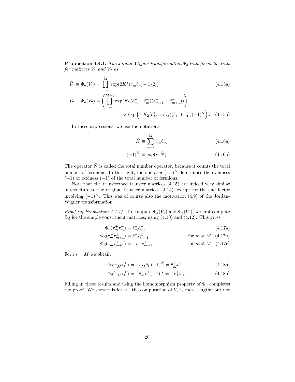**Proposition 4.4.1.** The Jordan-Wigner transformation  $\Phi_d$  transforms the trans- $\emph{fer matrices }V_{1} \emph{ and }V_{2} \emph{ as }$ 

$$
\tilde{V}_1 \equiv \Phi_d(V_1) = \prod_{m=1}^M \exp(2K_1^*(\hat{c}_m^+\hat{c}_m^- - 1/2))
$$
\n
$$
\tilde{V}_2 \equiv \Phi_d(V_2) = \left(\prod_{m=1}^{M-1} \exp(K_2(\hat{c}_m^+ - \hat{c}_m^-)(\hat{c}_{m+1}^+ + \hat{c}_{m+1}^-))\right)
$$
\n
$$
\times \exp\left(-K_2(\hat{c}_M^+ - \hat{c}_M^-)(\hat{c}_1^+ + \hat{c}_1^-)(-1)^{\hat{N}}\right).
$$
\n(4.15b)

In these expressions, we use the notations

$$
\hat{N} \equiv \sum_{m=1}^{M} \hat{c}_m^+ \hat{c}_m^- \tag{4.16a}
$$

$$
(-1)^{\hat{N}} \equiv \exp(i\pi \hat{N}).\tag{4.16b}
$$

The operator  $\hat{N}$  is called the total number operator, because it counts the total number of fermions. In this light, the operator  $(-1)^{\hat{N}}$  determines the evenness  $(+1)$  or oddness  $(-1)$  of the total number of fermions.

Note that the transformed transfer matrices (4.15) are indeed very similar in structure to the original transfer matrices (4.14), except for the end factor involving  $(-1)^{\hat{N}}$ . This was of course also the motivation  $(4.9)$  of the Jordan-Wigner transformation.

*Proof (of Proposition 4.4.1)*. To compute  $\Phi_d(V_1)$  and  $\Phi_d(V_2)$ , we first compute  $\Phi_d$  for the simple constituent matrices, using (4.10) and (4.12). This gives

$$
\Phi_d(\tau_m^+\tau_m^-) = \hat{c}_m^+\hat{c}_m^-, \tag{4.17a}
$$

$$
\Phi_d(\tau_m^+ \tau_{m+1}^{\pm}) = \hat{c}_m^+ \hat{c}_{m+1}^{\pm} \qquad \text{for } m \neq M, \text{ (4.17b)}
$$

$$
\Phi_d(\tau_m^- \tau_{m+1}^{\pm}) = -\hat{c}_m^- \hat{c}_{m+1}^{\pm} \qquad \text{for } m \neq M. \tag{4.17c}
$$

For  $m = M$  we obtain

$$
\Phi_d(\tau_M^+ \tau_1^{\pm}) = -\hat{c}_M^+ \hat{c}_1^{\pm} (-1)^{\hat{N}} \neq \hat{c}_M^+ \hat{c}_1^{\pm},\tag{4.18a}
$$

$$
\Phi_d(\tau_M^- \tau_1^{\pm}) = \hat{c}_M^+ \hat{c}_1^{\pm} (-1)^{\hat{N}} \neq -\hat{c}_M^+ \hat{c}_1^{\pm}.
$$
\n(4.18b)

Filling in these results and using the homomorphism property of  $\Phi_d$  completes the proof. We show this for  $V_1$ , the computation of  $V_2$  is more lengthy but not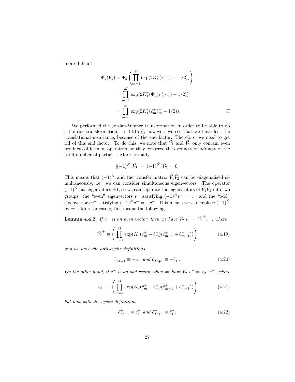more difficult.

$$
\Phi_d(V_1) = \Phi_d \left( \prod_{m=1}^M \exp(2K_1^*(\tau_m^+\tau_m^- - 1/2)) \right)
$$
  
= 
$$
\prod_{m=1}^M \exp(2K_1^*(\Phi_d(\tau_m^+\tau_m^-) - 1/2))
$$
  
= 
$$
\prod_{m=1}^M \exp(2K_1^*(\hat{c}_m^+\hat{c}_m^- - 1/2)).
$$

We performed the Jordan-Wigner transformation in order to be able to do a Fourier transformation. In (4.15b), however, we see that we have lost the translational invariance, because of the end factor. Therefore, we need to get rid of this end factor. To do this, we note that  $\tilde{V}_1$  and  $\tilde{V}_2$  only contain even products of fermion operators, so they conserve the evenness or oddness of the total number of particles. More formally,

$$
[(-1)^{\hat{N}}, \tilde{V}_1] = [(-1)^{\hat{N}}, \tilde{V}_2] = 0.
$$

This means that  $(-1)^{\hat{N}}$  and the transfer matrix  $\tilde{V}_1 \tilde{V}_2$  can be diagonalized simultaneously, i.e. we can consider simultaneous eigenvectors. The operator  $(-1)^{\hat{N}}$  has eigenvalues  $\pm 1$ , so we can separate the eigenvectors of  $\tilde{V}_1 \tilde{V}_2$  into two groups: the "even" eigenvectors  $v^+$  satisfying  $(-1)^{\hat{N}}v^+ = v^+$  and the "odd" eigenvectors  $v^-$  satisfying  $(-1)^{\hat{N}}v^- = -v^-$ . This means we can replace  $(-1)^{\hat{N}}$ by  $\pm 1$ . More precisely, this means the following.

**Lemma 4.4.2.** If  $v^+$  is an even vector, then we have  $\tilde{V}_2$   $v^+ = \tilde{V}_2$  $+v^+$ , where

$$
\tilde{V}_2^+ \equiv \left( \prod_{m=1}^M \exp(K_2(\hat{c}_m^+ - \hat{c}_m^-)(\hat{c}_{m+1}^+ + \hat{c}_{m+1}^-)) \right) \tag{4.19}
$$

and we have the anti-cyclic definitions

$$
\hat{c}_{M+1}^{+} \equiv -\hat{c}_{1}^{+} \text{ and } \hat{c}_{M+1}^{-} \equiv -\hat{c}_{1}^{-}. \tag{4.20}
$$

On the other hand, if  $v^-$  is an odd vector, then we have  $\tilde{V}_2 v^- = \tilde{V}_2$  $\bar{v}$ , where

$$
\tilde{V}_2^{\dagger} \equiv \left( \prod_{m=1}^M \exp(K_2(\hat{c}_m^+ - \hat{c}_m^-)(\hat{c}_{m+1}^+ + \hat{c}_{m+1}^-)) \right) \tag{4.21}
$$

but now with the cyclic definitions

$$
\hat{c}_{M+1}^+ \equiv \hat{c}_1^+ \text{ and } \hat{c}_{M+1}^- \equiv \hat{c}_1^-.
$$
\n(4.22)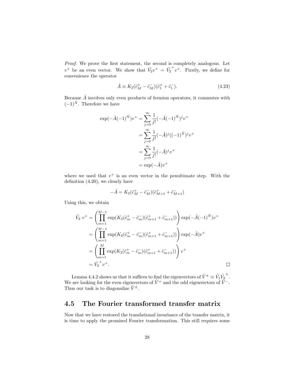Proof. We prove the first statement, the second is completely analogous. Let  $v^+$  be an even vector. We show that  $\tilde{V_2}v^+ = \tilde{V_2}$  $v^+$ . Firstly, we define for convenience the operator

$$
\hat{A} \equiv K_2(\hat{c}_M^+ - \hat{c}_M^-)(\hat{c}_1^+ + \hat{c}_1^-). \tag{4.23}
$$

Because  $\hat{A}$  involves only even products of fermion operators, it commutes with  $(-1)^{\hat{N}}$ . Therefore we have

$$
\exp(-\hat{A}(-1)^{\hat{N}})v^{+} = \sum_{j=0}^{\infty} \frac{1}{j!} (-\hat{A}(-1)^{\hat{N}})^{j} v^{+}
$$

$$
= \sum_{j=0}^{\infty} \frac{1}{j!} (-\hat{A})^{j} ((-1)^{\hat{N}})^{j} v^{+}
$$

$$
= \sum_{j=0}^{\infty} \frac{1}{j!} (-\hat{A})^{j} v^{+}
$$

$$
= \exp(-\hat{A})v^{+}
$$

where we used that  $v^+$  is an even vector in the penultimate step. With the definition (4.20), we clearly have

$$
-\hat{A}=K_2(\hat{c}^+_M-\hat{c}^-_M)(\hat{c}^+_{M+1}+\hat{c}^-_{M+1})
$$

Using this, we obtain

$$
\tilde{V}_2 v^+ = \left( \prod_{m=1}^{M-1} \exp(K_2(\hat{c}_m^+ - \hat{c}_m^-)(\hat{c}_{m+1}^+ + \hat{c}_{m+1}^-)) \right) \exp(-\hat{A}(-1)^{\hat{N}})v^+
$$
\n
$$
= \left( \prod_{m=1}^{M-1} \exp(K_2(\hat{c}_m^+ - \hat{c}_m^-)(\hat{c}_{m+1}^+ + \hat{c}_{m+1}^-)) \right) \exp(-\hat{A})v^+
$$
\n
$$
= \left( \prod_{m=1}^M \exp(K_2(\hat{c}_m^+ - \hat{c}_m^-)(\hat{c}_{m+1}^+ + \hat{c}_{m+1}^-)) \right) v^+
$$
\n
$$
= \tilde{V}_2^+ v^+.
$$

 $\Box$ 

Lemma 4.4.2 shows us that it suffices to find the eigenvectors of  $\tilde{V}^{\pm} \equiv \tilde{V_1} \tilde{V_2}$ ± . We are looking for the even eigenvectors of  $\tilde{V}^+$  and the odd eigenvectors of  $\tilde{V}^-$ . Thus our task is to diagonalize  $\tilde{V}^{\pm}$ .

#### 4.5 The Fourier transformed transfer matrix

Now that we have restored the translational invariance of the transfer matrix, it is time to apply the promised Fourier transformation. This still requires some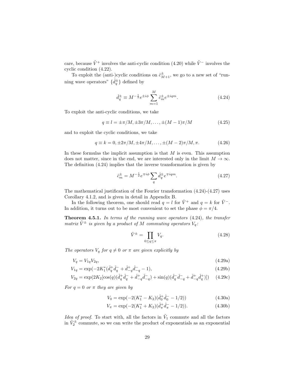care, because  $\tilde{V}^+$  involves the anti-cyclic condition (4.20) while  $\tilde{V}^-$  involves the cyclic condition (4.22).

To exploit the (anti-)cyclic conditions on  $\hat{c}_{M+1}^{\pm}$ , we go to a new set of "running wave operators"  $\{\hat{d}_{q}^{\pm}\}\$  defined by

$$
\hat{d}_q^{\pm} \equiv M^{-\frac{1}{2}} e^{\pm i\phi} \sum_{m=1}^M \hat{c}_m^{\pm} e^{\pm iqm}.
$$
 (4.24)

To exploit the anti-cyclic conditions, we take

$$
q \equiv l = \pm \pi / M, \pm 3\pi / M, \dots, \pm (M - 1)\pi / M \tag{4.25}
$$

and to exploit the cyclic conditions, we take

$$
q \equiv k = 0, \pm 2\pi/M, \pm 4\pi/M, \dots, \pm (M-2)\pi/M, \pi.
$$
 (4.26)

In these formulas the implicit assumption is that  $M$  is even. This assumption does not matter, since in the end, we are interested only in the limit  $M \to \infty$ . The definition (4.24) implies that the inverse transformation is given by

$$
\hat{c}_m^{\pm} = M^{-\frac{1}{2}} e^{\mp i\phi} \sum_q \hat{d}_q^{\pm} e^{\mp iqm}.
$$
\n(4.27)

The mathematical justification of the Fourier transformation (4.24)-(4.27) uses Corollary 4.1.2, and is given in detail in Appendix B.

In the following theorem, one should read  $q = l$  for  $\tilde{V}^+$  and  $q = k$  for  $\tilde{V}^-$ . In addition, it turns out to be most convenient to set the phase  $\phi = \pi/4$ .

**Theorem 4.5.1.** In terms of the running wave operators  $(4.24)$ , the transfer matrix  $\tilde{V}^{\pm}$  is given by a product of M commuting operators  $V_a$ :

$$
\tilde{V}^{\pm} = \prod_{0 \le q \le \pi} V_q. \tag{4.28}
$$

The operators  $V_q$  for  $q \neq 0$  or  $\pi$  are given explicitly by

$$
V_q = V_{1q} V_{2q},\tag{4.29a}
$$

$$
V_{1q} = \exp(-2K_1^*(\hat{d}_q^+ \hat{d}_q^- + \hat{d}_{-q}^+ \hat{d}_{-q}^- - 1)),\tag{4.29b}
$$

$$
V_{2q} = \exp(2K_2[\cos(q)(\hat{d}_q^+ \hat{d}_q^- + \hat{d}_{-q}^+ \hat{d}_{-q}^-) + \sin(q)(\hat{d}_q^- \hat{d}_{-q}^- + \hat{d}_{-q}^+ \hat{d}_q^+)]) \tag{4.29c}
$$

For  $q = 0$  or  $\pi$  they are given by

$$
V_0 = \exp(-2(K_1^* - K_2)(\hat{d}_0^+ \hat{d}_0^- - 1/2))
$$
\n(4.30a)

$$
V_{\pi} = \exp(-2(K_1^* + K_2)(\hat{d}_{\pi}^+ \hat{d}_{\pi}^- - 1/2)). \tag{4.30b}
$$

*Idea of proof.* To start with, all the factors in  $\tilde{V}_1$  commute and all the factors in  $\tilde{V}_2^{\pm}$  commute, so we can write the product of exponentials as an exponential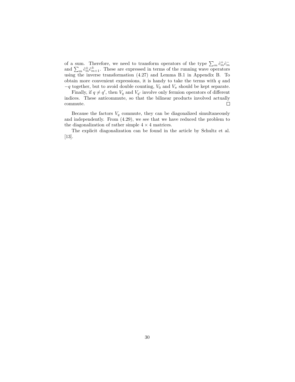of a sum. Therefore, we need to transform operators of the type  $\sum_m \hat{c}_m^{\dagger} \hat{c}_m^-$  and  $\sum_m \hat{c}_m^{\dagger} \hat{c}_{m+1}^{\dagger}$ . These are expressed in terms of the running wave operators using the inverse transformation (4.27) and Lemma B.1 in Appendix B. To obtain more convenient expressions, it is handy to take the terms with  $q$  and  $-q$  together, but to avoid double counting,  $V_0$  and  $V_\pi$  should be kept separate.

Finally, if  $q \neq q'$ , then  $V_q$  and  $V_{q'}$  involve only fermion operators of different indices. These anticommute, so that the bilinear products involved actually  $\Box$ commute.

Because the factors  $V_q$  commute, they can be diagonalized simultaneously and independently. From (4.29), we see that we have reduced the problem to the diagonalization of rather simple  $4 \times 4$  matrices.

The explicit diagonalization can be found in the article by Schultz et al. [13].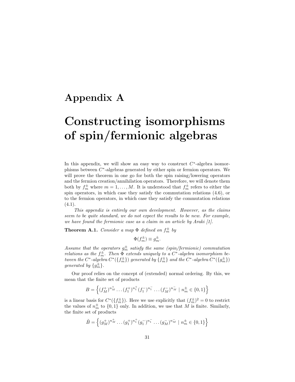## Appendix A

# Constructing isomorphisms of spin/fermionic algebras

In this appendix, we will show an easy way to construct  $C^*$ -algebra isomorphisms between  $C^*$ -algebras generated by either spin or fermion operators. We will prove the theorem in one go for both the spin raising/lowering operators and the fermion creation/annihilation operators. Therefore, we will denote them both by  $f_m^{\pm}$  where  $m = 1, ..., M$ . It is understood that  $f_m^{\pm}$  refers to either the spin operators, in which case they satisfy the commutation relations (4.6), or to the fermion operators, in which case they satisfy the commutation relations  $(4.1).$ 

This appendix is entirely our own development. However, as the claims seem to be quite standard, we do not expect the results to be new. For example, we have found the fermionic case as a claim in an article by Araki [1].

**Theorem A.1.** Consider a map  $\Phi$  defined on  $f_m^{\pm}$  by

$$
\Phi(f_m^{\pm}) \equiv g_m^{\pm}.
$$

Assume that the operators  $g_m^{\pm}$  satisfy the same (spin/fermionic) commutation relations as the  $f_m^{\pm}$ . Then  $\Phi$  extends uniquely to a  $C^*$ -algebra isomorphism between the C\*-algebra  $C^*(\{f_m^{\pm}\})$  generated by  $\{f_m^{\pm}\}$  and the C\*-algebra  $C^*(\{g_m^{\pm}\})$ generated by  $\{g_m^{\pm}\}.$ 

Our proof relies on the concept of (extended) normal ordering. By this, we mean that the finite set of products

$$
B = \left\{ (f_M^+)^{n_M^+} \dots (f_1^+)^{n_1^+} (f_1^-)^{n_1^-} \dots (f_M^-)^{n_M^-} \mid n_m^{\pm} \in \{0, 1\} \right\}
$$

is a linear basis for  $C^*(\{f_m^{\pm}\})$ . Here we use explicitly that  $(f_m^{\pm})^2 = 0$  to restrict the values of  $n<sub>m</sub><sup>±</sup>$  to  $\{0, 1\}$  only. In addition, we use that M is finite. Similarly, the finite set of products

$$
\tilde{B} = \left\{ (g_M^+)^{n_M^+} \dots (g_1^+)^{n_1^+} (g_1^-)^{n_1^-} \dots (g_M^-)^{n_M^-} \mid n_m^{\pm} \in \{0, 1\} \right\}
$$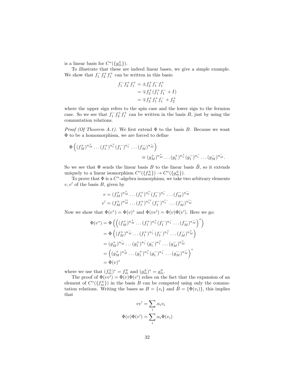is a linear basis for  $C^*(\{g_m^{\pm}\})$ .

To illustrate that these are indeed linear bases, we give a simple example. We show that  $f_1^- f_2^+ f_1^+$  can be written in this basis:

$$
f_1^- f_2^+ f_1^+ = \pm f_2^+ f_1^- f_1^+
$$
  
=  $\mp f_2^+(f_1^+ f_1^- + I)$   
=  $\mp f_2^+ f_1^+ f_1^- + f_2^+$ 

where the upper sign refers to the spin case and the lower sign to the fermion case. So we see that  $f_1^- f_2^+ f_1^+$  can be written in the basis B, just by using the commutation relations.

*Proof (Of Theorem A.1).* We first extend  $\Phi$  to the basis B. Because we want Φ to be a homomorphism, we are forced to define

$$
\Phi\left((f_M^+)^{n_M^+}\dots(f_1^+)^{n_1^+}(f_1^-)^{n_1^-}\dots(f_M^-)^{n_M^-}\right) = (g_M^+)^{n_M^+}\dots(g_1^+)^{n_1^+}(g_1^-)^{n_1^-}\dots(g_M^-)^{n_M^-}.
$$

So we see that  $\Phi$  sends the linear basis B to the linear basis  $\tilde{B}$ , so it extends uniquely to a linear isomorphism  $C^*(\lbrace f_m^{\pm} \rbrace) \to C^*(\lbrace g_m^{\pm} \rbrace)$ .

To prove that  $\Phi$  is a  $C^*$ -algebra isomorphism, we take two arbitrary elements  $v, v'$  of the basis B, given by

$$
v = (f_M^+)^{n_M^+} \dots (f_1^+)^{n_1^+} (f_1^-)^{n_1^-} \dots (f_M^-)^{n_M^-}
$$
  

$$
v' = (f_M^+)^{n_M'^+} \dots (f_1^+)^{n_1'^+} (f_1^-)^{n_1'^-} \dots (f_M^-)^{n_M'^-}
$$

Now we show that  $\Phi(v^*) = \Phi(v)^*$  and  $\Phi(vv') = \Phi(v)\Phi(v')$ . Here we go:

$$
\Phi(v^*) = \Phi\left(\left((f_M^+)^{n_M^+}\cdots (f_1^+)^{n_1^+}(f_1^-)^{n_1^-}\cdots (f_M^-)^{n_M^-}\right)^*\right)
$$
  
\n
$$
= \Phi\left((f_M^+)^{n_M^-}\cdots (f_1^+)^{n_1^-}(f_1^-)^{n_1^+}\cdots (f_M^-)^{n_M^+}\right)
$$
  
\n
$$
= (g_M^+)^{n_M^-}\cdots (g_1^+)^{n_1^-}(g_1^-)^{n_1^+}\cdots (g_M^-)^{n_M^+}
$$
  
\n
$$
= \left((g_M^+)^{n_M^+}\cdots (g_1^+)^{n_1^+}(g_1^-)^{n_1^-}\cdots (g_M^-)^{n_M^-}\right)^*
$$
  
\n
$$
= \Phi(v)^*
$$

where we use that  $(f_m^{\pm})^* = f_m^{\mp}$  and  $(g_m^{\pm})^* = g_m^{\mp}$ .

The proof of  $\Phi(vv') = \Phi(v)\Phi(v')$  relies on the fact that the expansion of an element of  $C^*(\{f_m^{\pm}\})$  in the basis B can be computed using only the commutation relations. Writing the bases as  $B = \{v_i\}$  and  $\tilde{B} = \{\Phi(v_i)\}\$ , this implies that

$$
vv' = \sum_{i} \alpha_i v_i
$$

$$
\Phi(v)\Phi(v') = \sum_{i} \alpha_i \Phi(v_i)
$$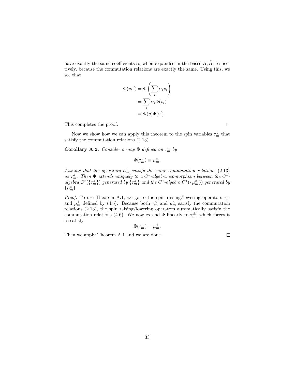have exactly the same coefficients  $\alpha_i$  when expanded in the bases  $B, \tilde{B}$ , respectively, because the commutation relations are exactly the same. Using this, we see that

$$
\Phi(vv') = \Phi\left(\sum_i \alpha_i v_i\right)
$$

$$
= \sum_i \alpha_i \Phi(v_i)
$$

$$
= \Phi(v)\Phi(v').
$$

This completes the proof.

 $\Box$ 

Now we show how we can apply this theorem to the spin variables  $\tau_m^a$  that satisfy the commutation relations (2.13).

Corollary A.2. Consider a map  $\Phi$  defined on  $\tau_m^a$  by

$$
\Phi(\tau_m^a) \equiv \mu_m^a.
$$

Assume that the operators  $\mu_m^a$  satisfy the same commutation relations (2.13) as  $\tau_m^a$ . Then  $\Phi$  extends uniquely to a  $C^*$ -algebra isomorphism between the  $C^*$ algebra  $C^*(\{\tau_m^a\})$  generated by  $\{\tau_m^a\}$  and the  $C^*$ -algebra  $C^*(\{\mu_m^a\})$  generated by  $\{\mu_m^a\}.$ 

*Proof.* To use Theorem A.1, we go to the spin raising/lowering operators  $\tau_m^{\pm}$ and  $\mu_m^{\pm}$  defined by (4.5). Because both  $\tau_m^a$  and  $\mu_m^a$  satisfy the commutation relations (2.13), the spin raising/lowering operators automatically satisfy the commutation relations (4.6). We now extend  $\Phi$  linearly to  $\tau_m^{\pm}$ , which forces it to satisfy

$$
\Phi(\tau_m^{\pm}) = \mu_m^{\pm}.
$$

Then we apply Theorem A.1 and we are done.

 $\Box$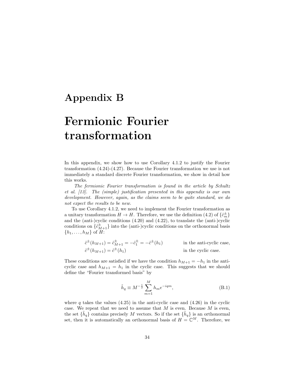## Appendix B

# Fermionic Fourier transformation

In this appendix, we show how to use Corollary 4.1.2 to justify the Fourier transformation (4.24)-(4.27). Because the Fourier transformation we use is not immediately a standard discrete Fourier transformation, we show in detail how this works.

The fermionic Fourier transformation is found in the article by Schultz et al. [13]. The (simple) justification presented in this appendix is our own development. However, again, as the claims seem to be quite standard, we do not expect the results to be new.

To use Corollary 4.1.2, we need to implement the Fourier transformation as a unitary transformation  $H \to H$ . Therefore, we use the definition (4.2) of  $\{\hat{c}_m^{\pm}\}$ and the (anti-)cyclic conditions (4.20) and (4.22), to translate the (anti-)cyclic conditions on  $\{\hat{c}_{M+1}^{\pm}\}$  into the (anti-)cyclic conditions on the orthonormal basis  $\{h_1, \ldots, h_M\}$  of  $H$ :

$$
\hat{c}^{\pm}(h_{M+1}) = \hat{c}_{M+1}^{\pm} = -\hat{c}_{1}^{\pm} = -\hat{c}^{\pm}(h_{1})
$$
 in the anti-cyclic case,  
\n
$$
\hat{c}^{\pm}(h_{M+1}) = \hat{c}^{\pm}(h_{1})
$$
 in the cyclic case.

These conditions are satisfied if we have the condition  $h_{M+1} = -h_1$  in the anticyclic case and  $h_{M+1} = h_1$  in the cyclic case. This suggests that we should define the "Fourier transformed basis" by

$$
\tilde{h}_q \equiv M^{-\frac{1}{2}} \sum_{m=1}^{M} h_m e^{-iqm},
$$
\n(B.1)

where q takes the values  $(4.25)$  in the anti-cyclic case and  $(4.26)$  in the cyclic case. We repeat that we need to assume that  $M$  is even. Because  $M$  is even, the set  $\{\tilde{h}_q\}$  contains precisely M vectors. So if the set  $\{\tilde{h}_q\}$  is an orthonormal set, then it is automatically an orthonormal basis of  $H = \mathbb{C}^M$ . Therefore, we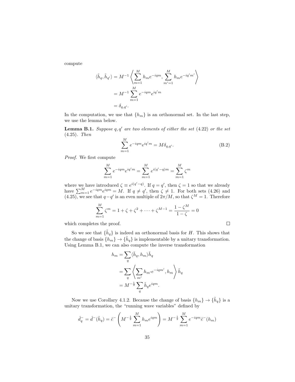compute

$$
\langle \tilde{h}_q, \tilde{h}_{q'} \rangle = M^{-1} \left\langle \sum_{m=1}^M h_m e^{-iqm}, \sum_{m'=1}^M h_m e^{-iq'm'} \right\rangle
$$
  
=  $M^{-1} \sum_{m=1}^M e^{-iqm} e^{iq'm}$   
=  $\delta_{q,q'}$ .

In the computation, we use that  $\{h_m\}$  is an orthonormal set. In the last step, we use the lemma below.

**Lemma B.1.** Suppose  $q, q'$  are two elements of either the set  $(4.22)$  or the set (4.25). Then

$$
\sum_{m=1}^{M} e^{-iqm} e^{iq'm} = M \delta_{q,q'}.
$$
\n(B.2)

 $\Box$ 

Proof. We first compute

$$
\sum_{m=1}^{M} e^{-iqm} e^{iq'm} = \sum_{m=1}^{M} e^{i(q'-q)m} = \sum_{m=1}^{M} \zeta^m
$$

where we have introduced  $\zeta \equiv e^{i(q'-q)}$ . If  $q = q'$ , then  $\zeta = 1$  so that we already have  $\sum_{m=1}^{M} e^{-iqm} e^{iqm} = M$ . If  $q \neq q'$ , then  $\zeta \neq 1$ . For both sets (4.26) and (4.25), we see that  $q-q'$  is an even multiple of  $2\pi/M$ , so that  $\zeta^M = 1$ . Therefore

$$
\sum_{m=1}^{M} \zeta^{m} = 1 + \zeta + \zeta^{2} + \dots + \zeta^{M-1} = \frac{1 - \zeta^{M}}{1 - \zeta} = 0
$$

which completes the proof.

So we see that  $\{\tilde{h}_q\}$  is indeed an orthonormal basis for H. This shows that the change of basis  $\{\tilde{h}_m\} \to \{\tilde{h}_q\}$  is implementable by a unitary transformation. Using Lemma B.1, we can also compute the inverse transformation

$$
h_m = \sum_{q} \langle \tilde{h}_q, h_m \rangle \tilde{h}_q
$$
  
= 
$$
\sum_{q} \left\langle \sum_{m'} h_{m'} e^{-iqm'}, h_m \right\rangle \tilde{h}_q
$$
  
= 
$$
M^{-\frac{1}{2}} \sum_{q} \tilde{h}_q e^{iqm}.
$$

Now we use Corollary 4.1.2. Because the change of basis  $\{h_m\} \to \{\tilde{h}_q\}$  is a unitary transformation, the "running wave variables" defined by

$$
\hat{d}_q^- = \hat{d}^-(\tilde{h}_q) = \hat{c}^- \left(M^{-\frac{1}{2}} \sum_{m=1}^M h_m e^{iqm}\right) = M^{-\frac{1}{2}} \sum_{m=1}^M e^{-iqm} \hat{c}^-(h_m)
$$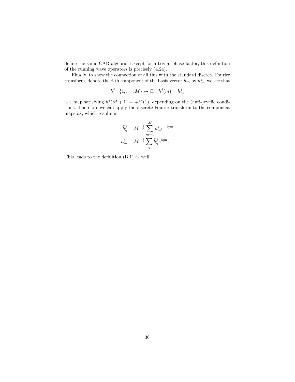define the same CAR algebra. Except for a trivial phase factor, this definition of the running wave operators is precisely (4.24).

Finally, to show the connection of all this with the standard discrete Fourier transform, denote the *j*-th component of the basis vector  $h_m$  by  $h_m^j$ , we see that

$$
h^j: \{1, \ldots, M\} \to \mathbb{C}, \quad h^j(m) = h^j_m
$$

is a map satisfying  $h^{j}(M + 1) = \pm h^{j}(1)$ , depending on the (anti-)cyclic conditions. Therefore we can apply the discrete Fourier transform to the component maps  $h^j$ , which results in

$$
\begin{split} \tilde{h}^j_q &= M^{-\frac{1}{2}} \sum_{m=1}^M h^j_m e^{-iqm} \\ h^j_m &= M^{-\frac{1}{2}} \sum_q \tilde{h}^j_q e^{iqm}. \end{split}
$$

This leads to the definition (B.1) as well.